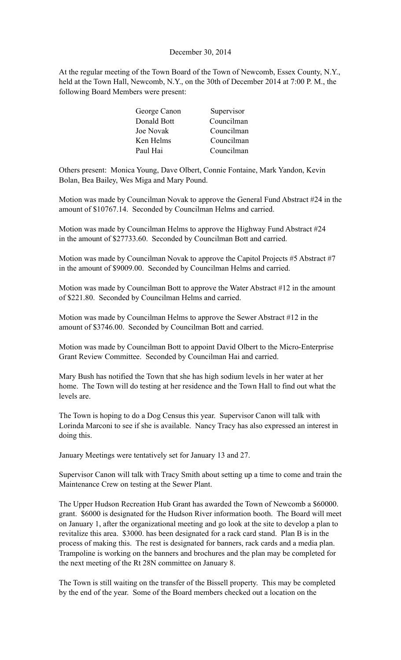### December 30, 2014

At the regular meeting of the Town Board of the Town of Newcomb, Essex County, N.Y., held at the Town Hall, Newcomb, N.Y., on the 30th of December 2014 at 7:00 P. M., the following Board Members were present:

| George Canon | Supervisor |
|--------------|------------|
| Donald Bott  | Councilman |
| Joe Novak    | Councilman |
| Ken Helms    | Councilman |
| Paul Hai     | Councilman |

Others present: Monica Young, Dave Olbert, Connie Fontaine, Mark Yandon, Kevin Bolan, Bea Bailey, Wes Miga and Mary Pound.

Motion was made by Councilman Novak to approve the General Fund Abstract #24 in the amount of \$10767.14. Seconded by Councilman Helms and carried.

Motion was made by Councilman Helms to approve the Highway Fund Abstract #24 in the amount of \$27733.60. Seconded by Councilman Bott and carried.

Motion was made by Councilman Novak to approve the Capitol Projects #5 Abstract #7 in the amount of \$9009.00. Seconded by Councilman Helms and carried.

Motion was made by Councilman Bott to approve the Water Abstract #12 in the amount of \$221.80. Seconded by Councilman Helms and carried.

Motion was made by Councilman Helms to approve the Sewer Abstract #12 in the amount of \$3746.00. Seconded by Councilman Bott and carried.

Motion was made by Councilman Bott to appoint David Olbert to the Micro-Enterprise Grant Review Committee. Seconded by Councilman Hai and carried.

Mary Bush has notified the Town that she has high sodium levels in her water at her home. The Town will do testing at her residence and the Town Hall to find out what the levels are.

The Town is hoping to do a Dog Census this year. Supervisor Canon will talk with Lorinda Marconi to see if she is available. Nancy Tracy has also expressed an interest in doing this.

January Meetings were tentatively set for January 13 and 27.

Supervisor Canon will talk with Tracy Smith about setting up a time to come and train the Maintenance Crew on testing at the Sewer Plant.

The Upper Hudson Recreation Hub Grant has awarded the Town of Newcomb a \$60000. grant. \$6000 is designated for the Hudson River information booth. The Board will meet on January 1, after the organizational meeting and go look at the site to develop a plan to revitalize this area. \$3000. has been designated for a rack card stand. Plan B is in the process of making this. The rest is designated for banners, rack cards and a media plan. Trampoline is working on the banners and brochures and the plan may be completed for the next meeting of the Rt 28N committee on January 8.

The Town is still waiting on the transfer of the Bissell property. This may be completed by the end of the year. Some of the Board members checked out a location on the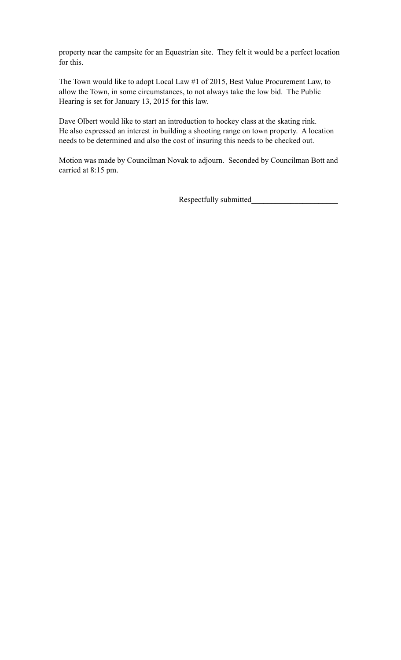property near the campsite for an Equestrian site. They felt it would be a perfect location for this.

The Town would like to adopt Local Law #1 of 2015, Best Value Procurement Law, to allow the Town, in some circumstances, to not always take the low bid. The Public Hearing is set for January 13, 2015 for this law.

Dave Olbert would like to start an introduction to hockey class at the skating rink. He also expressed an interest in building a shooting range on town property. A location needs to be determined and also the cost of insuring this needs to be checked out.

Motion was made by Councilman Novak to adjourn. Seconded by Councilman Bott and carried at 8:15 pm.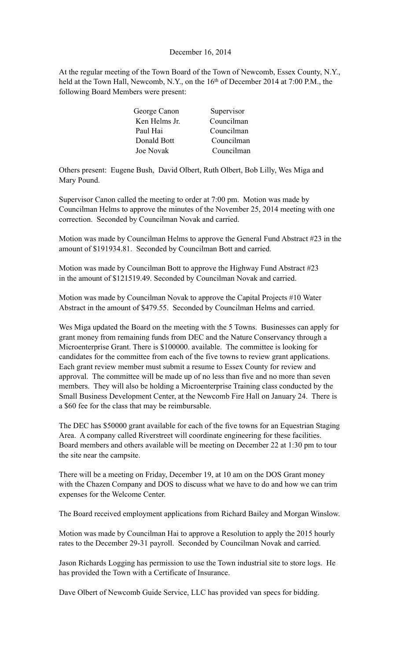### December 16, 2014

At the regular meeting of the Town Board of the Town of Newcomb, Essex County, N.Y., held at the Town Hall, Newcomb, N.Y., on the 16<sup>th</sup> of December 2014 at 7:00 P.M., the following Board Members were present:

| George Canon  | Supervisor |
|---------------|------------|
| Ken Helms Jr. | Councilman |
| Paul Hai      | Councilman |
| Donald Bott   | Councilman |
| Joe Novak     | Councilman |

Others present: Eugene Bush, David Olbert, Ruth Olbert, Bob Lilly, Wes Miga and Mary Pound.

Supervisor Canon called the meeting to order at 7:00 pm. Motion was made by Councilman Helms to approve the minutes of the November 25, 2014 meeting with one correction. Seconded by Councilman Novak and carried.

Motion was made by Councilman Helms to approve the General Fund Abstract #23 in the amount of \$191934.81. Seconded by Councilman Bott and carried.

Motion was made by Councilman Bott to approve the Highway Fund Abstract #23 in the amount of \$121519.49. Seconded by Councilman Novak and carried.

Motion was made by Councilman Novak to approve the Capital Projects #10 Water Abstract in the amount of \$479.55. Seconded by Councilman Helms and carried.

Wes Miga updated the Board on the meeting with the 5 Towns. Businesses can apply for grant money from remaining funds from DEC and the Nature Conservancy through a Microenterprise Grant. There is \$100000. available. The committee is looking for candidates for the committee from each of the five towns to review grant applications. Each grant review member must submit a resume to Essex County for review and approval. The committee will be made up of no less than five and no more than seven members. They will also be holding a Microenterprise Training class conducted by the Small Business Development Center, at the Newcomb Fire Hall on January 24. There is a \$60 fee for the class that may be reimbursable.

The DEC has \$50000 grant available for each of the five towns for an Equestrian Staging Area. A company called Riverstreet will coordinate engineering for these facilities. Board members and others available will be meeting on December 22 at 1:30 pm to tour the site near the campsite.

There will be a meeting on Friday, December 19, at 10 am on the DOS Grant money with the Chazen Company and DOS to discuss what we have to do and how we can trim expenses for the Welcome Center.

The Board received employment applications from Richard Bailey and Morgan Winslow.

Motion was made by Councilman Hai to approve a Resolution to apply the 2015 hourly rates to the December 29-31 payroll. Seconded by Councilman Novak and carried.

Jason Richards Logging has permission to use the Town industrial site to store logs. He has provided the Town with a Certificate of Insurance.

Dave Olbert of Newcomb Guide Service, LLC has provided van specs for bidding.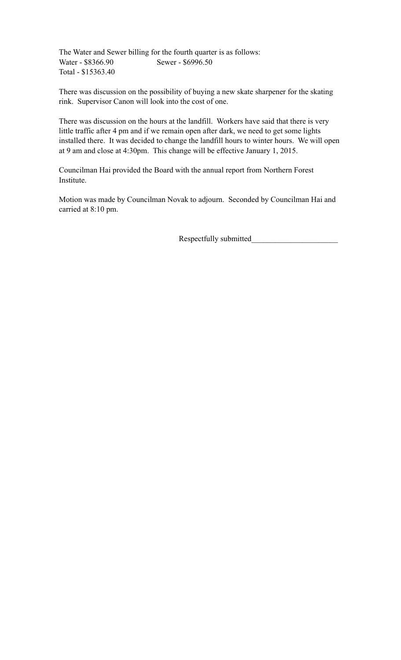The Water and Sewer billing for the fourth quarter is as follows: Water - \$8366.90 Sewer - \$6996.50 Total - \$15363.40

There was discussion on the possibility of buying a new skate sharpener for the skating rink. Supervisor Canon will look into the cost of one.

There was discussion on the hours at the landfill. Workers have said that there is very little traffic after 4 pm and if we remain open after dark, we need to get some lights installed there. It was decided to change the landfill hours to winter hours. We will open at 9 am and close at 4:30pm. This change will be effective January 1, 2015.

Councilman Hai provided the Board with the annual report from Northern Forest Institute.

Motion was made by Councilman Novak to adjourn. Seconded by Councilman Hai and carried at 8:10 pm.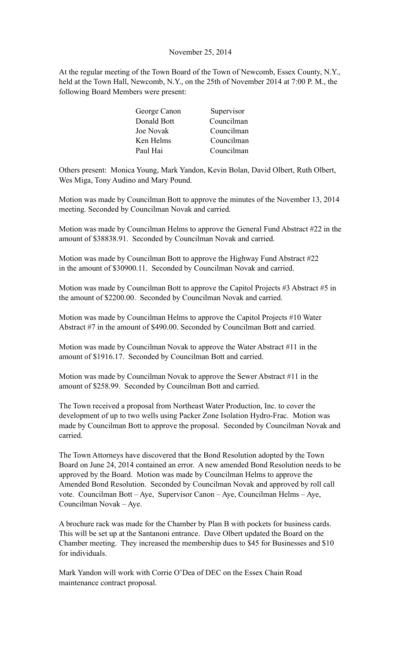### November 25, 2014

At the regular meeting of the Town Board of the Town of Newcomb, Essex County, N.Y., held at the Town Hall, Newcomb, N.Y., on the 25th of November 2014 at 7:00 P. M., the following Board Members were present:

| George Canon | Supervisor |
|--------------|------------|
| Donald Bott  | Councilman |
| Joe Novak    | Councilman |
| Ken Helms    | Councilman |
| Paul Hai     | Councilman |

Others present: Monica Young, Mark Yandon, Kevin Bolan, David Olbert, Ruth Olbert, Wes Miga, Tony Audino and Mary Pound.

Motion was made by Councilman Bott to approve the minutes of the November 13, 2014 meeting. Seconded by Councilman Novak and carried.

Motion was made by Councilman Helms to approve the General Fund Abstract #22 in the amount of \$38838.91. Seconded by Councilman Novak and carried.

Motion was made by Councilman Bott to approve the Highway Fund Abstract #22 in the amount of \$30900.11. Seconded by Councilman Novak and carried.

Motion was made by Councilman Bott to approve the Capitol Projects #3 Abstract #5 in the amount of \$2200.00. Seconded by Councilman Novak and carried.

Motion was made by Councilman Helms to approve the Capitol Projects #10 Water Abstract #7 in the amount of \$490.00. Seconded by Councilman Bott and carried.

Motion was made by Councilman Novak to approve the Water Abstract #11 in the amount of \$1916.17. Seconded by Councilman Bott and carried.

Motion was made by Councilman Novak to approve the Sewer Abstract #11 in the amount of \$258.99. Seconded by Councilman Bott and carried.

The Town received a proposal from Northeast Water Production, Inc. to cover the development of up to two wells using Packer Zone Isolation Hydro-Frac. Motion was made by Councilman Bott to approve the proposal. Seconded by Councilman Novak and carried.

The Town Attorneys have discovered that the Bond Resolution adopted by the Town Board on June 24, 2014 contained an error. A new amended Bond Resolution needs to be approved by the Board. Motion was made by Councilman Helms to approve the Amended Bond Resolution. Seconded by Councilman Novak and approved by roll call vote. Councilman Bott – Aye, Supervisor Canon – Aye, Councilman Helms – Aye, Councilman Novak – Aye.

A brochure rack was made for the Chamber by Plan B with pockets for business cards. This will be set up at the Santanoni entrance. Dave Olbert updated the Board on the Chamber meeting. They increased the membership dues to \$45 for Businesses and \$10 for individuals.

Mark Yandon will work with Corrie O'Dea of DEC on the Essex Chain Road maintenance contract proposal.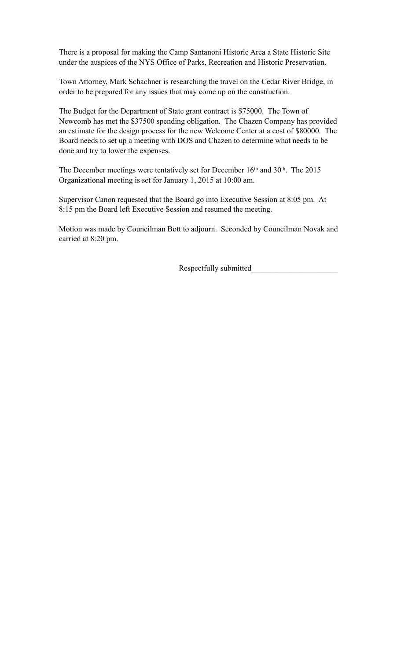There is a proposal for making the Camp Santanoni Historic Area a State Historic Site under the auspices of the NYS Office of Parks, Recreation and Historic Preservation.

Town Attorney, Mark Schachner is researching the travel on the Cedar River Bridge, in order to be prepared for any issues that may come up on the construction.

The Budget for the Department of State grant contract is \$75000. The Town of Newcomb has met the \$37500 spending obligation. The Chazen Company has provided an estimate for the design process for the new Welcome Center at a cost of \$80000. The Board needs to set up a meeting with DOS and Chazen to determine what needs to be done and try to lower the expenses.

The December meetings were tentatively set for December 16<sup>th</sup> and 30<sup>th</sup>. The 2015 Organizational meeting is set for January 1, 2015 at 10:00 am.

Supervisor Canon requested that the Board go into Executive Session at 8:05 pm. At 8:15 pm the Board left Executive Session and resumed the meeting.

Motion was made by Councilman Bott to adjourn. Seconded by Councilman Novak and carried at 8:20 pm.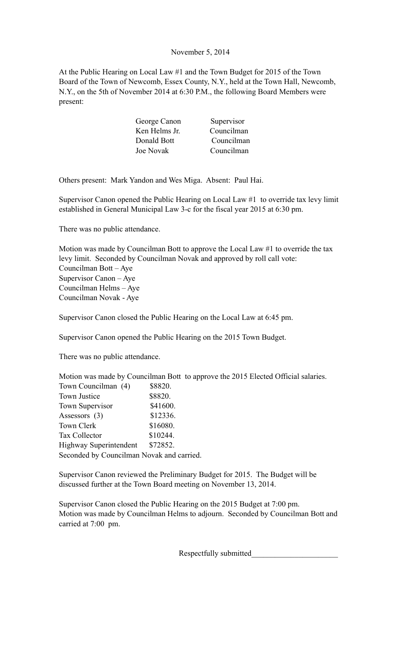# November 5, 2014

At the Public Hearing on Local Law #1 and the Town Budget for 2015 of the Town Board of the Town of Newcomb, Essex County, N.Y., held at the Town Hall, Newcomb, N.Y., on the 5th of November 2014 at 6:30 P.M., the following Board Members were present:

| George Canon  | Supervisor |
|---------------|------------|
| Ken Helms Jr. | Councilman |
| Donald Bott   | Councilman |
| Joe Novak     | Councilman |

Others present: Mark Yandon and Wes Miga. Absent: Paul Hai.

Supervisor Canon opened the Public Hearing on Local Law #1 to override tax levy limit established in General Municipal Law 3-c for the fiscal year 2015 at 6:30 pm.

There was no public attendance.

Motion was made by Councilman Bott to approve the Local Law #1 to override the tax levy limit. Seconded by Councilman Novak and approved by roll call vote: Councilman Bott – Aye Supervisor Canon – Aye Councilman Helms – Aye Councilman Novak - Aye

Supervisor Canon closed the Public Hearing on the Local Law at 6:45 pm.

Supervisor Canon opened the Public Hearing on the 2015 Town Budget.

There was no public attendance.

Motion was made by Councilman Bott to approve the 2015 Elected Official salaries. Town Councilman (4) \$8820. Town Justice \$8820. Town Supervisor \$41600.

| Assessors (3)                             | \$12336. |  |
|-------------------------------------------|----------|--|
| Town Clerk                                | \$16080. |  |
| <b>Tax Collector</b>                      | \$10244. |  |
| Highway Superintendent                    | \$72852. |  |
| Seconded by Councilman Novak and carried. |          |  |

Supervisor Canon reviewed the Preliminary Budget for 2015. The Budget will be discussed further at the Town Board meeting on November 13, 2014.

Supervisor Canon closed the Public Hearing on the 2015 Budget at 7:00 pm. Motion was made by Councilman Helms to adjourn. Seconded by Councilman Bott and carried at 7:00 pm.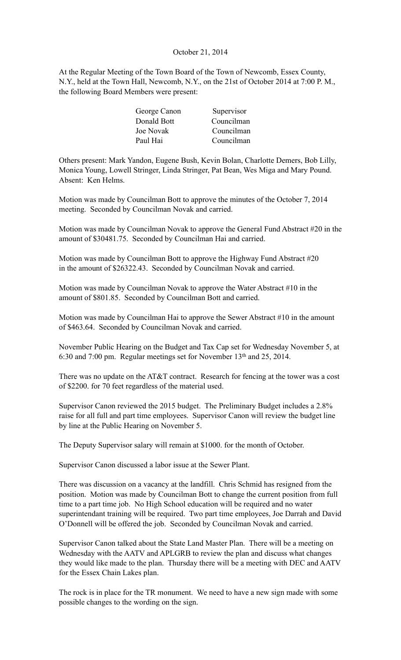# October 21, 2014

At the Regular Meeting of the Town Board of the Town of Newcomb, Essex County, N.Y., held at the Town Hall, Newcomb, N.Y., on the 21st of October 2014 at 7:00 P. M., the following Board Members were present:

| Supervisor |
|------------|
| Councilman |
| Councilman |
| Councilman |
|            |

Others present: Mark Yandon, Eugene Bush, Kevin Bolan, Charlotte Demers, Bob Lilly, Monica Young, Lowell Stringer, Linda Stringer, Pat Bean, Wes Miga and Mary Pound. Absent: Ken Helms.

Motion was made by Councilman Bott to approve the minutes of the October 7, 2014 meeting. Seconded by Councilman Novak and carried.

Motion was made by Councilman Novak to approve the General Fund Abstract #20 in the amount of \$30481.75. Seconded by Councilman Hai and carried.

Motion was made by Councilman Bott to approve the Highway Fund Abstract #20 in the amount of \$26322.43. Seconded by Councilman Novak and carried.

Motion was made by Councilman Novak to approve the Water Abstract #10 in the amount of \$801.85. Seconded by Councilman Bott and carried.

Motion was made by Councilman Hai to approve the Sewer Abstract #10 in the amount of \$463.64. Seconded by Councilman Novak and carried.

November Public Hearing on the Budget and Tax Cap set for Wednesday November 5, at 6:30 and 7:00 pm. Regular meetings set for November 13th and 25, 2014.

There was no update on the AT&T contract. Research for fencing at the tower was a cost of \$2200. for 70 feet regardless of the material used.

Supervisor Canon reviewed the 2015 budget. The Preliminary Budget includes a 2.8% raise for all full and part time employees. Supervisor Canon will review the budget line by line at the Public Hearing on November 5.

The Deputy Supervisor salary will remain at \$1000. for the month of October.

Supervisor Canon discussed a labor issue at the Sewer Plant.

There was discussion on a vacancy at the landfill. Chris Schmid has resigned from the position. Motion was made by Councilman Bott to change the current position from full time to a part time job. No High School education will be required and no water superintendant training will be required. Two part time employees, Joe Darrah and David O'Donnell will be offered the job. Seconded by Councilman Novak and carried.

Supervisor Canon talked about the State Land Master Plan. There will be a meeting on Wednesday with the AATV and APLGRB to review the plan and discuss what changes they would like made to the plan. Thursday there will be a meeting with DEC and AATV for the Essex Chain Lakes plan.

The rock is in place for the TR monument. We need to have a new sign made with some possible changes to the wording on the sign.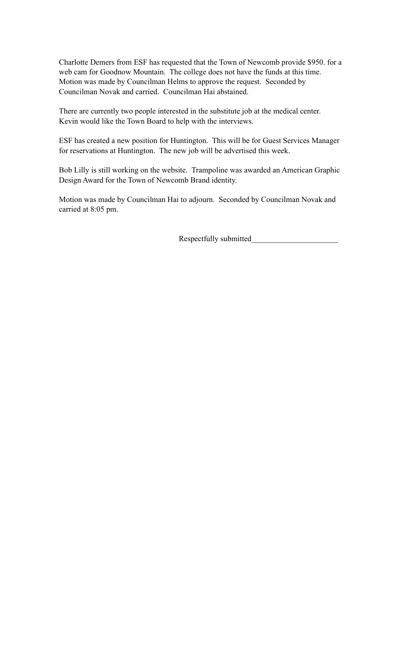Charlotte Demers from ESF has requested that the Town of Newcomb provide \$950. for a web cam for Goodnow Mountain. The college does not have the funds at this time. Motion was made by Councilman Helms to approve the request. Seconded by Councilman Novak and carried. Councilman Hai abstained.

There are currently two people interested in the substitute job at the medical center. Kevin would like the Town Board to help with the interviews.

ESF has created a new position for Huntington. This will be for Guest Services Manager for reservations at Huntington. The new job will be advertised this week.

Bob Lilly is still working on the website. Trampoline was awarded an American Graphic Design Award for the Town of Newcomb Brand identity.

Motion was made by Councilman Hai to adjourn. Seconded by Councilman Novak and carried at 8:05 pm.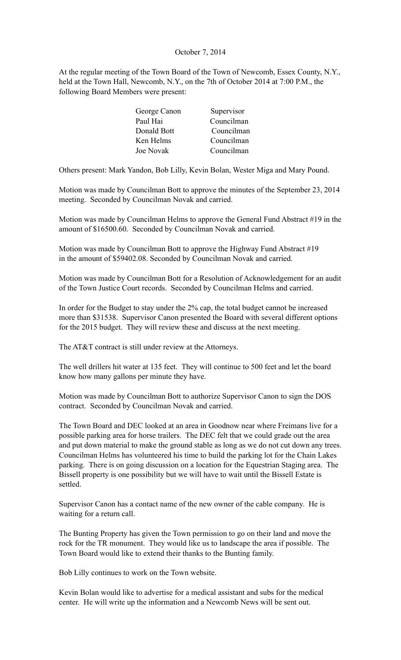# October 7, 2014

At the regular meeting of the Town Board of the Town of Newcomb, Essex County, N.Y., held at the Town Hall, Newcomb, N.Y., on the 7th of October 2014 at 7:00 P.M., the following Board Members were present:

| George Canon | Supervisor |
|--------------|------------|
| Paul Hai     | Councilman |
| Donald Bott  | Councilman |
| Ken Helms    | Councilman |
| Joe Novak    | Councilman |

Others present: Mark Yandon, Bob Lilly, Kevin Bolan, Wester Miga and Mary Pound.

Motion was made by Councilman Bott to approve the minutes of the September 23, 2014 meeting. Seconded by Councilman Novak and carried.

Motion was made by Councilman Helms to approve the General Fund Abstract #19 in the amount of \$16500.60. Seconded by Councilman Novak and carried.

Motion was made by Councilman Bott to approve the Highway Fund Abstract #19 in the amount of \$59402.08. Seconded by Councilman Novak and carried.

Motion was made by Councilman Bott for a Resolution of Acknowledgement for an audit of the Town Justice Court records. Seconded by Councilman Helms and carried.

In order for the Budget to stay under the 2% cap, the total budget cannot be increased more than \$31538. Supervisor Canon presented the Board with several different options for the 2015 budget. They will review these and discuss at the next meeting.

The AT&T contract is still under review at the Attorneys.

The well drillers hit water at 135 feet. They will continue to 500 feet and let the board know how many gallons per minute they have.

Motion was made by Councilman Bott to authorize Supervisor Canon to sign the DOS contract. Seconded by Councilman Novak and carried.

The Town Board and DEC looked at an area in Goodnow near where Freimans live for a possible parking area for horse trailers. The DEC felt that we could grade out the area and put down material to make the ground stable as long as we do not cut down any trees. Councilman Helms has volunteered his time to build the parking lot for the Chain Lakes parking. There is on going discussion on a location for the Equestrian Staging area. The Bissell property is one possibility but we will have to wait until the Bissell Estate is settled.

Supervisor Canon has a contact name of the new owner of the cable company. He is waiting for a return call.

The Bunting Property has given the Town permission to go on their land and move the rock for the TR monument. They would like us to landscape the area if possible. The Town Board would like to extend their thanks to the Bunting family.

Bob Lilly continues to work on the Town website.

Kevin Bolan would like to advertise for a medical assistant and subs for the medical center. He will write up the information and a Newcomb News will be sent out.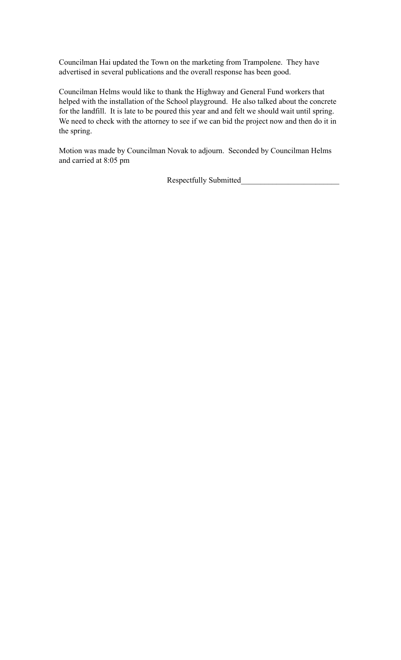Councilman Hai updated the Town on the marketing from Trampolene. They have advertised in several publications and the overall response has been good.

Councilman Helms would like to thank the Highway and General Fund workers that helped with the installation of the School playground. He also talked about the concrete for the landfill. It is late to be poured this year and and felt we should wait until spring. We need to check with the attorney to see if we can bid the project now and then do it in the spring.

Motion was made by Councilman Novak to adjourn. Seconded by Councilman Helms and carried at 8:05 pm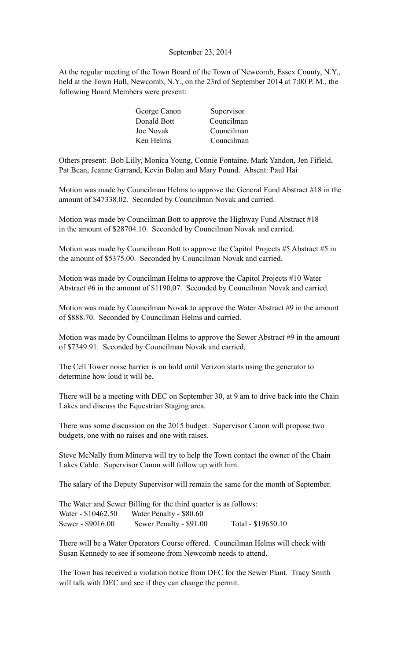## September 23, 2014

At the regular meeting of the Town Board of the Town of Newcomb, Essex County, N.Y., held at the Town Hall, Newcomb, N.Y., on the 23rd of September 2014 at 7:00 P. M., the following Board Members were present:

| Supervisor |
|------------|
| Councilman |
| Councilman |
| Councilman |
|            |

Others present: Bob Lilly, Monica Young, Connie Fontaine, Mark Yandon, Jen Fifield, Pat Bean, Jeanne Garrand, Kevin Bolan and Mary Pound. Absent: Paul Hai

Motion was made by Councilman Helms to approve the General Fund Abstract #18 in the amount of \$47338.02. Seconded by Councilman Novak and carried.

Motion was made by Councilman Bott to approve the Highway Fund Abstract #18 in the amount of \$28704.10. Seconded by Councilman Novak and carried.

Motion was made by Councilman Bott to approve the Capitol Projects #5 Abstract #5 in the amount of \$5375.00. Seconded by Councilman Novak and carried.

Motion was made by Councilman Helms to approve the Capitol Projects #10 Water Abstract #6 in the amount of \$1190.07. Seconded by Councilman Novak and carried.

Motion was made by Councilman Novak to approve the Water Abstract #9 in the amount of \$888.70. Seconded by Councilman Helms and carried.

Motion was made by Councilman Helms to approve the Sewer Abstract #9 in the amount of \$7349.91. Seconded by Councilman Novak and carried.

The Cell Tower noise barrier is on hold until Verizon starts using the generator to determine how loud it will be.

There will be a meeting with DEC on September 30, at 9 am to drive back into the Chain Lakes and discuss the Equestrian Staging area.

There was some discussion on the 2015 budget. Supervisor Canon will propose two budgets, one with no raises and one with raises.

Steve McNally from Minerva will try to help the Town contact the owner of the Chain Lakes Cable. Supervisor Canon will follow up with him.

The salary of the Deputy Supervisor will remain the same for the month of September.

The Water and Sewer Billing for the third quarter is as follows: Water - \$10462.50 Water Penalty - \$80.60 Sewer - \$9016.00 Sewer Penalty - \$91.00 Total - \$19650.10

There will be a Water Operators Course offered. Councilman Helms will check with Susan Kennedy to see if someone from Newcomb needs to attend.

The Town has received a violation notice from DEC for the Sewer Plant. Tracy Smith will talk with DEC and see if they can change the permit.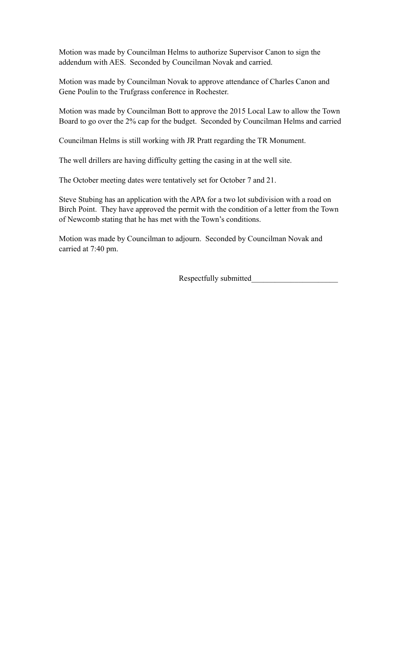Motion was made by Councilman Helms to authorize Supervisor Canon to sign the addendum with AES. Seconded by Councilman Novak and carried.

Motion was made by Councilman Novak to approve attendance of Charles Canon and Gene Poulin to the Trufgrass conference in Rochester.

Motion was made by Councilman Bott to approve the 2015 Local Law to allow the Town Board to go over the 2% cap for the budget. Seconded by Councilman Helms and carried

Councilman Helms is still working with JR Pratt regarding the TR Monument.

The well drillers are having difficulty getting the casing in at the well site.

The October meeting dates were tentatively set for October 7 and 21.

Steve Stubing has an application with the APA for a two lot subdivision with a road on Birch Point. They have approved the permit with the condition of a letter from the Town of Newcomb stating that he has met with the Town's conditions.

Motion was made by Councilman to adjourn. Seconded by Councilman Novak and carried at 7:40 pm.

Respectfully submitted\_\_\_\_\_\_\_\_\_\_\_\_\_\_\_\_\_\_\_\_\_\_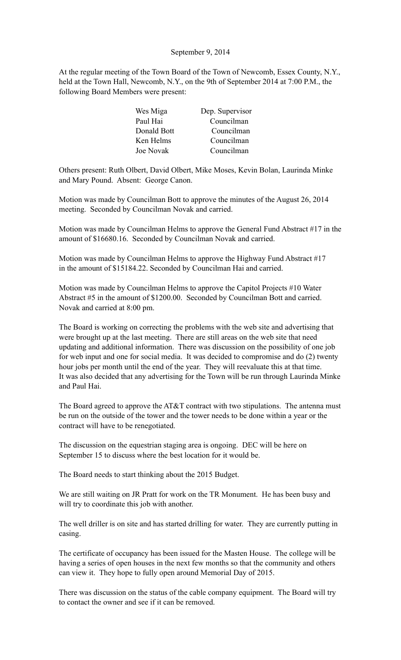### September 9, 2014

At the regular meeting of the Town Board of the Town of Newcomb, Essex County, N.Y., held at the Town Hall, Newcomb, N.Y., on the 9th of September 2014 at 7:00 P.M., the following Board Members were present:

| Wes Miga    | Dep. Supervisor |
|-------------|-----------------|
| Paul Hai    | Councilman      |
| Donald Bott | Councilman      |
| Ken Helms   | Councilman      |
| Joe Novak   | Councilman      |

Others present: Ruth Olbert, David Olbert, Mike Moses, Kevin Bolan, Laurinda Minke and Mary Pound. Absent: George Canon.

Motion was made by Councilman Bott to approve the minutes of the August 26, 2014 meeting. Seconded by Councilman Novak and carried.

Motion was made by Councilman Helms to approve the General Fund Abstract #17 in the amount of \$16680.16. Seconded by Councilman Novak and carried.

Motion was made by Councilman Helms to approve the Highway Fund Abstract #17 in the amount of \$15184.22. Seconded by Councilman Hai and carried.

Motion was made by Councilman Helms to approve the Capitol Projects #10 Water Abstract #5 in the amount of \$1200.00. Seconded by Councilman Bott and carried. Novak and carried at 8:00 pm.

The Board is working on correcting the problems with the web site and advertising that were brought up at the last meeting. There are still areas on the web site that need updating and additional information. There was discussion on the possibility of one job for web input and one for social media. It was decided to compromise and do (2) twenty hour jobs per month until the end of the year. They will reevaluate this at that time. It was also decided that any advertising for the Town will be run through Laurinda Minke and Paul Hai.

The Board agreed to approve the AT&T contract with two stipulations. The antenna must be run on the outside of the tower and the tower needs to be done within a year or the contract will have to be renegotiated.

The discussion on the equestrian staging area is ongoing. DEC will be here on September 15 to discuss where the best location for it would be.

The Board needs to start thinking about the 2015 Budget.

We are still waiting on JR Pratt for work on the TR Monument. He has been busy and will try to coordinate this job with another.

The well driller is on site and has started drilling for water. They are currently putting in casing.

The certificate of occupancy has been issued for the Masten House. The college will be having a series of open houses in the next few months so that the community and others can view it. They hope to fully open around Memorial Day of 2015.

There was discussion on the status of the cable company equipment. The Board will try to contact the owner and see if it can be removed.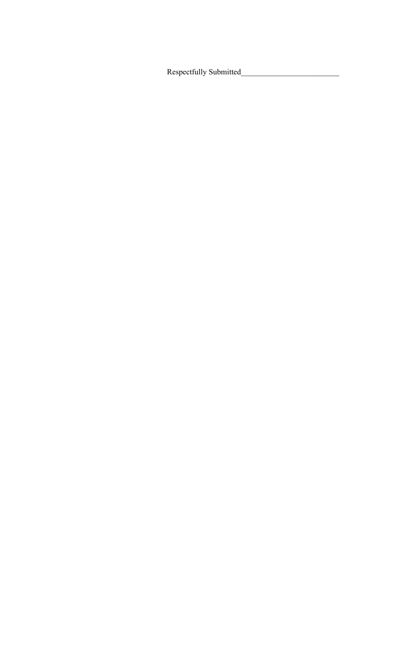Respectfully Submitted\_\_\_\_\_\_\_\_\_\_\_\_\_\_\_\_\_\_\_\_\_\_\_\_\_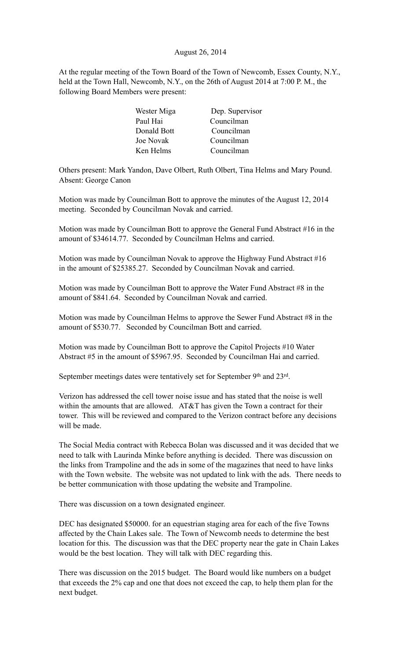# August 26, 2014

At the regular meeting of the Town Board of the Town of Newcomb, Essex County, N.Y., held at the Town Hall, Newcomb, N.Y., on the 26th of August 2014 at 7:00 P. M., the following Board Members were present:

| Wester Miga | Dep. Supervisor |
|-------------|-----------------|
| Paul Hai    | Councilman      |
| Donald Bott | Councilman      |
| Joe Novak   | Councilman      |
| Ken Helms   | Councilman      |

Others present: Mark Yandon, Dave Olbert, Ruth Olbert, Tina Helms and Mary Pound. Absent: George Canon

Motion was made by Councilman Bott to approve the minutes of the August 12, 2014 meeting. Seconded by Councilman Novak and carried.

Motion was made by Councilman Bott to approve the General Fund Abstract #16 in the amount of \$34614.77. Seconded by Councilman Helms and carried.

Motion was made by Councilman Novak to approve the Highway Fund Abstract #16 in the amount of \$25385.27. Seconded by Councilman Novak and carried.

Motion was made by Councilman Bott to approve the Water Fund Abstract #8 in the amount of \$841.64. Seconded by Councilman Novak and carried.

Motion was made by Councilman Helms to approve the Sewer Fund Abstract #8 in the amount of \$530.77. Seconded by Councilman Bott and carried.

Motion was made by Councilman Bott to approve the Capitol Projects #10 Water Abstract #5 in the amount of \$5967.95. Seconded by Councilman Hai and carried.

September meetings dates were tentatively set for September 9<sup>th</sup> and 23<sup>rd</sup>.

Verizon has addressed the cell tower noise issue and has stated that the noise is well within the amounts that are allowed. AT&T has given the Town a contract for their tower. This will be reviewed and compared to the Verizon contract before any decisions will be made.

The Social Media contract with Rebecca Bolan was discussed and it was decided that we need to talk with Laurinda Minke before anything is decided. There was discussion on the links from Trampoline and the ads in some of the magazines that need to have links with the Town website. The website was not updated to link with the ads. There needs to be better communication with those updating the website and Trampoline.

There was discussion on a town designated engineer.

DEC has designated \$50000. for an equestrian staging area for each of the five Towns affected by the Chain Lakes sale. The Town of Newcomb needs to determine the best location for this. The discussion was that the DEC property near the gate in Chain Lakes would be the best location. They will talk with DEC regarding this.

There was discussion on the 2015 budget. The Board would like numbers on a budget that exceeds the 2% cap and one that does not exceed the cap, to help them plan for the next budget.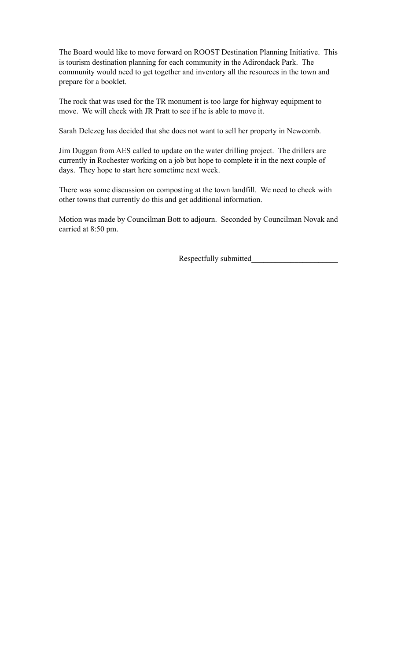The Board would like to move forward on ROOST Destination Planning Initiative. This is tourism destination planning for each community in the Adirondack Park. The community would need to get together and inventory all the resources in the town and prepare for a booklet.

The rock that was used for the TR monument is too large for highway equipment to move. We will check with JR Pratt to see if he is able to move it.

Sarah Delczeg has decided that she does not want to sell her property in Newcomb.

Jim Duggan from AES called to update on the water drilling project. The drillers are currently in Rochester working on a job but hope to complete it in the next couple of days. They hope to start here sometime next week.

There was some discussion on composting at the town landfill. We need to check with other towns that currently do this and get additional information.

Motion was made by Councilman Bott to adjourn. Seconded by Councilman Novak and carried at 8:50 pm.

Respectfully submitted\_\_\_\_\_\_\_\_\_\_\_\_\_\_\_\_\_\_\_\_\_\_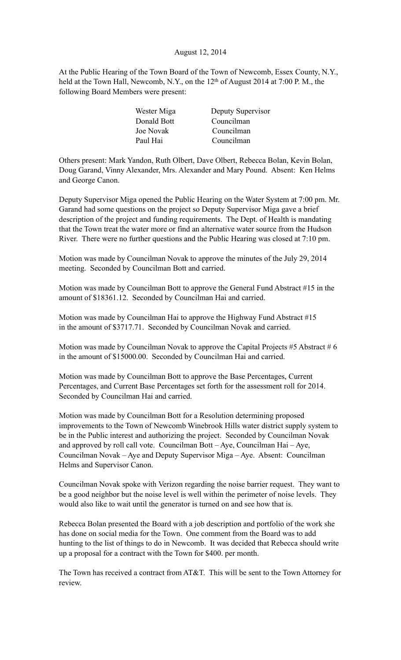# August 12, 2014

At the Public Hearing of the Town Board of the Town of Newcomb, Essex County, N.Y., held at the Town Hall, Newcomb, N.Y., on the  $12<sup>th</sup>$  of August 2014 at 7:00 P.M., the following Board Members were present:

| Wester Miga | Deputy Supervisor |
|-------------|-------------------|
| Donald Bott | Councilman        |
| Joe Novak   | Councilman        |
| Paul Hai    | Councilman        |
|             |                   |

Others present: Mark Yandon, Ruth Olbert, Dave Olbert, Rebecca Bolan, Kevin Bolan, Doug Garand, Vinny Alexander, Mrs. Alexander and Mary Pound. Absent: Ken Helms and George Canon.

Deputy Supervisor Miga opened the Public Hearing on the Water System at 7:00 pm. Mr. Garand had some questions on the project so Deputy Supervisor Miga gave a brief description of the project and funding requirements. The Dept. of Health is mandating that the Town treat the water more or find an alternative water source from the Hudson River. There were no further questions and the Public Hearing was closed at 7:10 pm.

Motion was made by Councilman Novak to approve the minutes of the July 29, 2014 meeting. Seconded by Councilman Bott and carried.

Motion was made by Councilman Bott to approve the General Fund Abstract #15 in the amount of \$18361.12. Seconded by Councilman Hai and carried.

Motion was made by Councilman Hai to approve the Highway Fund Abstract #15 in the amount of \$3717.71. Seconded by Councilman Novak and carried.

Motion was made by Councilman Novak to approve the Capital Projects  $#5$  Abstract  $#6$ in the amount of \$15000.00. Seconded by Councilman Hai and carried.

Motion was made by Councilman Bott to approve the Base Percentages, Current Percentages, and Current Base Percentages set forth for the assessment roll for 2014. Seconded by Councilman Hai and carried.

Motion was made by Councilman Bott for a Resolution determining proposed improvements to the Town of Newcomb Winebrook Hills water district supply system to be in the Public interest and authorizing the project. Seconded by Councilman Novak and approved by roll call vote. Councilman Bott – Aye, Councilman Hai – Aye, Councilman Novak – Aye and Deputy Supervisor Miga – Aye. Absent: Councilman Helms and Supervisor Canon.

Councilman Novak spoke with Verizon regarding the noise barrier request. They want to be a good neighbor but the noise level is well within the perimeter of noise levels. They would also like to wait until the generator is turned on and see how that is.

Rebecca Bolan presented the Board with a job description and portfolio of the work she has done on social media for the Town. One comment from the Board was to add hunting to the list of things to do in Newcomb. It was decided that Rebecca should write up a proposal for a contract with the Town for \$400. per month.

The Town has received a contract from AT&T. This will be sent to the Town Attorney for review.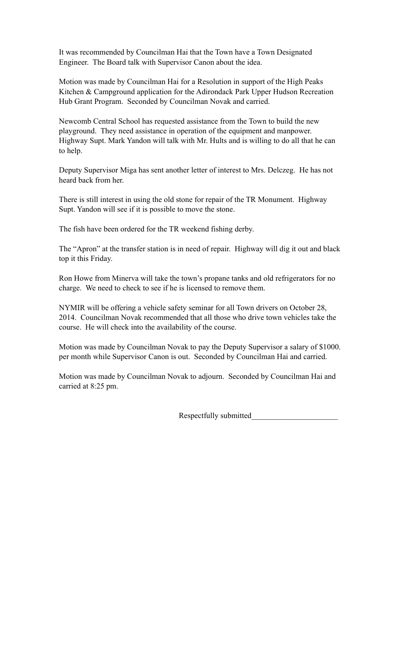It was recommended by Councilman Hai that the Town have a Town Designated Engineer. The Board talk with Supervisor Canon about the idea.

Motion was made by Councilman Hai for a Resolution in support of the High Peaks Kitchen & Campground application for the Adirondack Park Upper Hudson Recreation Hub Grant Program. Seconded by Councilman Novak and carried.

Newcomb Central School has requested assistance from the Town to build the new playground. They need assistance in operation of the equipment and manpower. Highway Supt. Mark Yandon will talk with Mr. Hults and is willing to do all that he can to help.

Deputy Supervisor Miga has sent another letter of interest to Mrs. Delczeg. He has not heard back from her.

There is still interest in using the old stone for repair of the TR Monument. Highway Supt. Yandon will see if it is possible to move the stone.

The fish have been ordered for the TR weekend fishing derby.

The "Apron" at the transfer station is in need of repair. Highway will dig it out and black top it this Friday.

Ron Howe from Minerva will take the town's propane tanks and old refrigerators for no charge. We need to check to see if he is licensed to remove them.

NYMIR will be offering a vehicle safety seminar for all Town drivers on October 28, 2014. Councilman Novak recommended that all those who drive town vehicles take the course. He will check into the availability of the course.

Motion was made by Councilman Novak to pay the Deputy Supervisor a salary of \$1000. per month while Supervisor Canon is out. Seconded by Councilman Hai and carried.

Motion was made by Councilman Novak to adjourn. Seconded by Councilman Hai and carried at 8:25 pm.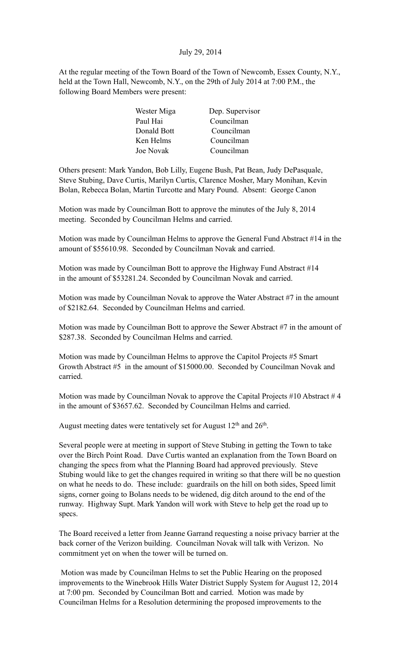# July 29, 2014

At the regular meeting of the Town Board of the Town of Newcomb, Essex County, N.Y., held at the Town Hall, Newcomb, N.Y., on the 29th of July 2014 at 7:00 P.M., the following Board Members were present:

| Wester Miga | Dep. Supervisor |
|-------------|-----------------|
| Paul Hai    | Councilman      |
| Donald Bott | Councilman      |
| Ken Helms   | Councilman      |
| Joe Novak   | Councilman      |

Others present: Mark Yandon, Bob Lilly, Eugene Bush, Pat Bean, Judy DePasquale, Steve Stubing, Dave Curtis, Marilyn Curtis, Clarence Mosher, Mary Monihan, Kevin Bolan, Rebecca Bolan, Martin Turcotte and Mary Pound. Absent: George Canon

Motion was made by Councilman Bott to approve the minutes of the July 8, 2014 meeting. Seconded by Councilman Helms and carried.

Motion was made by Councilman Helms to approve the General Fund Abstract #14 in the amount of \$55610.98. Seconded by Councilman Novak and carried.

Motion was made by Councilman Bott to approve the Highway Fund Abstract #14 in the amount of \$53281.24. Seconded by Councilman Novak and carried.

Motion was made by Councilman Novak to approve the Water Abstract #7 in the amount of \$2182.64. Seconded by Councilman Helms and carried.

Motion was made by Councilman Bott to approve the Sewer Abstract #7 in the amount of \$287.38. Seconded by Councilman Helms and carried.

Motion was made by Councilman Helms to approve the Capitol Projects #5 Smart Growth Abstract #5 in the amount of \$15000.00. Seconded by Councilman Novak and carried.

Motion was made by Councilman Novak to approve the Capital Projects #10 Abstract # 4 in the amount of \$3657.62. Seconded by Councilman Helms and carried.

August meeting dates were tentatively set for August  $12<sup>th</sup>$  and  $26<sup>th</sup>$ .

Several people were at meeting in support of Steve Stubing in getting the Town to take over the Birch Point Road. Dave Curtis wanted an explanation from the Town Board on changing the specs from what the Planning Board had approved previously. Steve Stubing would like to get the changes required in writing so that there will be no question on what he needs to do. These include: guardrails on the hill on both sides, Speed limit signs, corner going to Bolans needs to be widened, dig ditch around to the end of the runway. Highway Supt. Mark Yandon will work with Steve to help get the road up to specs.

The Board received a letter from Jeanne Garrand requesting a noise privacy barrier at the back corner of the Verizon building. Councilman Novak will talk with Verizon. No commitment yet on when the tower will be turned on.

 Motion was made by Councilman Helms to set the Public Hearing on the proposed improvements to the Winebrook Hills Water District Supply System for August 12, 2014 at 7:00 pm. Seconded by Councilman Bott and carried. Motion was made by Councilman Helms for a Resolution determining the proposed improvements to the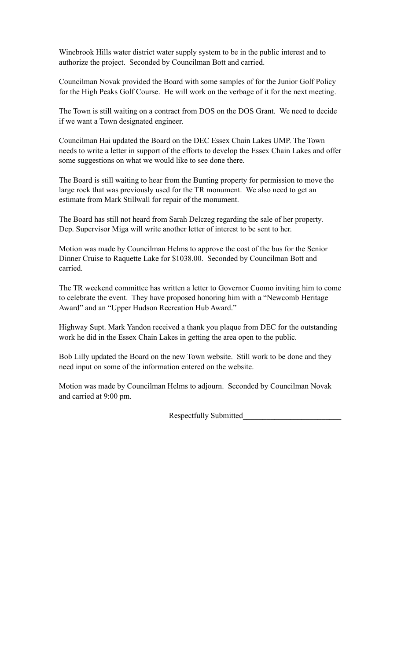Winebrook Hills water district water supply system to be in the public interest and to authorize the project. Seconded by Councilman Bott and carried.

Councilman Novak provided the Board with some samples of for the Junior Golf Policy for the High Peaks Golf Course. He will work on the verbage of it for the next meeting.

The Town is still waiting on a contract from DOS on the DOS Grant. We need to decide if we want a Town designated engineer.

Councilman Hai updated the Board on the DEC Essex Chain Lakes UMP. The Town needs to write a letter in support of the efforts to develop the Essex Chain Lakes and offer some suggestions on what we would like to see done there.

The Board is still waiting to hear from the Bunting property for permission to move the large rock that was previously used for the TR monument. We also need to get an estimate from Mark Stillwall for repair of the monument.

The Board has still not heard from Sarah Delczeg regarding the sale of her property. Dep. Supervisor Miga will write another letter of interest to be sent to her.

Motion was made by Councilman Helms to approve the cost of the bus for the Senior Dinner Cruise to Raquette Lake for \$1038.00. Seconded by Councilman Bott and carried.

The TR weekend committee has written a letter to Governor Cuomo inviting him to come to celebrate the event. They have proposed honoring him with a "Newcomb Heritage Award" and an "Upper Hudson Recreation Hub Award."

Highway Supt. Mark Yandon received a thank you plaque from DEC for the outstanding work he did in the Essex Chain Lakes in getting the area open to the public.

Bob Lilly updated the Board on the new Town website. Still work to be done and they need input on some of the information entered on the website.

Motion was made by Councilman Helms to adjourn. Seconded by Councilman Novak and carried at 9:00 pm.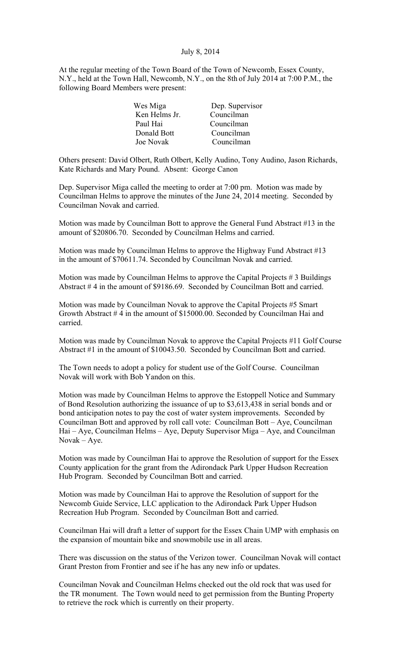#### July 8, 2014

At the regular meeting of the Town Board of the Town of Newcomb, Essex County, N.Y., held at the Town Hall, Newcomb, N.Y., on the 8th of July 2014 at 7:00 P.M., the following Board Members were present:

| Wes Miga      | Dep. Supervisor |
|---------------|-----------------|
| Ken Helms Jr. | Councilman      |
| Paul Hai      | Councilman      |
| Donald Bott   | Councilman      |
| Joe Novak     | Councilman      |
|               |                 |

Others present: David Olbert, Ruth Olbert, Kelly Audino, Tony Audino, Jason Richards, Kate Richards and Mary Pound. Absent: George Canon

Dep. Supervisor Miga called the meeting to order at 7:00 pm. Motion was made by Councilman Helms to approve the minutes of the June 24, 2014 meeting. Seconded by Councilman Novak and carried.

Motion was made by Councilman Bott to approve the General Fund Abstract #13 in the amount of \$20806.70. Seconded by Councilman Helms and carried.

Motion was made by Councilman Helms to approve the Highway Fund Abstract #13 in the amount of \$70611.74. Seconded by Councilman Novak and carried.

Motion was made by Councilman Helms to approve the Capital Projects # 3 Buildings Abstract # 4 in the amount of \$9186.69. Seconded by Councilman Bott and carried.

Motion was made by Councilman Novak to approve the Capital Projects #5 Smart Growth Abstract # 4 in the amount of \$15000.00. Seconded by Councilman Hai and carried.

Motion was made by Councilman Novak to approve the Capital Projects #11 Golf Course Abstract #1 in the amount of \$10043.50. Seconded by Councilman Bott and carried.

The Town needs to adopt a policy for student use of the Golf Course. Councilman Novak will work with Bob Yandon on this.

Motion was made by Councilman Helms to approve the Estoppell Notice and Summary of Bond Resolution authorizing the issuance of up to \$3,613,438 in serial bonds and or bond anticipation notes to pay the cost of water system improvements. Seconded by Councilman Bott and approved by roll call vote: Councilman Bott – Aye, Councilman Hai – Aye, Councilman Helms – Aye, Deputy Supervisor Miga – Aye, and Councilman Novak – Aye.

Motion was made by Councilman Hai to approve the Resolution of support for the Essex County application for the grant from the Adirondack Park Upper Hudson Recreation Hub Program. Seconded by Councilman Bott and carried.

Motion was made by Councilman Hai to approve the Resolution of support for the Newcomb Guide Service, LLC application to the Adirondack Park Upper Hudson Recreation Hub Program. Seconded by Councilman Bott and carried.

Councilman Hai will draft a letter of support for the Essex Chain UMP with emphasis on the expansion of mountain bike and snowmobile use in all areas.

There was discussion on the status of the Verizon tower. Councilman Novak will contact Grant Preston from Frontier and see if he has any new info or updates.

Councilman Novak and Councilman Helms checked out the old rock that was used for the TR monument. The Town would need to get permission from the Bunting Property to retrieve the rock which is currently on their property.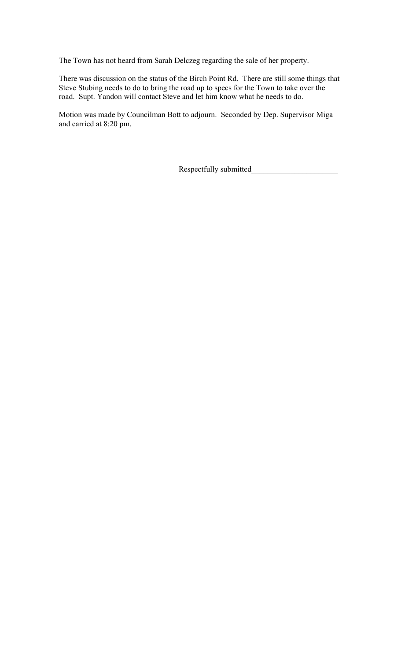The Town has not heard from Sarah Delczeg regarding the sale of her property.

There was discussion on the status of the Birch Point Rd. There are still some things that Steve Stubing needs to do to bring the road up to specs for the Town to take over the road. Supt. Yandon will contact Steve and let him know what he needs to do.

Motion was made by Councilman Bott to adjourn. Seconded by Dep. Supervisor Miga and carried at 8:20 pm.

Respectfully submitted\_\_\_\_\_\_\_\_\_\_\_\_\_\_\_\_\_\_\_\_\_\_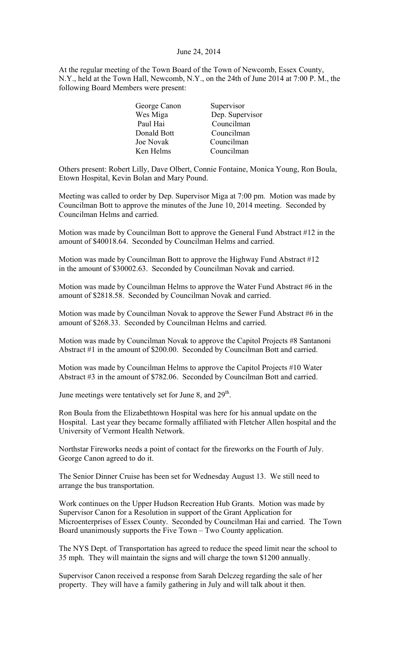#### June 24, 2014

At the regular meeting of the Town Board of the Town of Newcomb, Essex County, N.Y., held at the Town Hall, Newcomb, N.Y., on the 24th of June 2014 at 7:00 P. M., the following Board Members were present:

| George Canon | Supervisor      |
|--------------|-----------------|
| Wes Miga     | Dep. Supervisor |
| Paul Hai     | Councilman      |
| Donald Bott  | Councilman      |
| Joe Novak    | Councilman      |
| Ken Helms    | Councilman      |
|              |                 |

Others present: Robert Lilly, Dave Olbert, Connie Fontaine, Monica Young, Ron Boula, Etown Hospital, Kevin Bolan and Mary Pound.

Meeting was called to order by Dep. Supervisor Miga at 7:00 pm. Motion was made by Councilman Bott to approve the minutes of the June 10, 2014 meeting. Seconded by Councilman Helms and carried.

Motion was made by Councilman Bott to approve the General Fund Abstract #12 in the amount of \$40018.64. Seconded by Councilman Helms and carried.

Motion was made by Councilman Bott to approve the Highway Fund Abstract #12 in the amount of \$30002.63. Seconded by Councilman Novak and carried.

Motion was made by Councilman Helms to approve the Water Fund Abstract #6 in the amount of \$2818.58. Seconded by Councilman Novak and carried.

Motion was made by Councilman Novak to approve the Sewer Fund Abstract #6 in the amount of \$268.33. Seconded by Councilman Helms and carried.

Motion was made by Councilman Novak to approve the Capitol Projects #8 Santanoni Abstract #1 in the amount of \$200.00. Seconded by Councilman Bott and carried.

Motion was made by Councilman Helms to approve the Capitol Projects #10 Water Abstract #3 in the amount of \$782.06. Seconded by Councilman Bott and carried.

June meetings were tentatively set for June 8, and 29<sup>th</sup>.

Ron Boula from the Elizabethtown Hospital was here for his annual update on the Hospital. Last year they became formally affiliated with Fletcher Allen hospital and the University of Vermont Health Network.

Northstar Fireworks needs a point of contact for the fireworks on the Fourth of July. George Canon agreed to do it.

The Senior Dinner Cruise has been set for Wednesday August 13. We still need to arrange the bus transportation.

Work continues on the Upper Hudson Recreation Hub Grants. Motion was made by Supervisor Canon for a Resolution in support of the Grant Application for Microenterprises of Essex County. Seconded by Councilman Hai and carried. The Town Board unanimously supports the Five Town – Two County application.

The NYS Dept. of Transportation has agreed to reduce the speed limit near the school to 35 mph. They will maintain the signs and will charge the town \$1200 annually.

Supervisor Canon received a response from Sarah Delczeg regarding the sale of her property. They will have a family gathering in July and will talk about it then.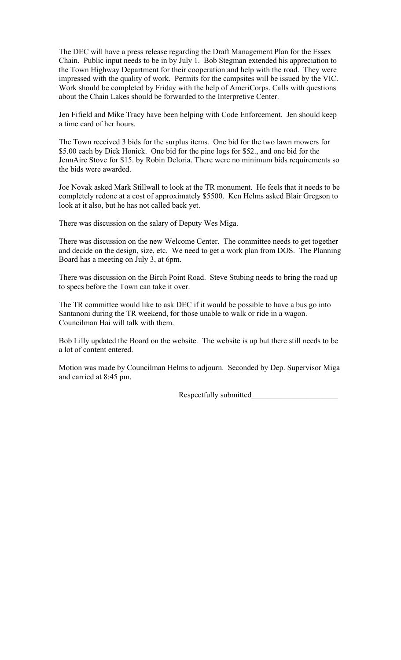The DEC will have a press release regarding the Draft Management Plan for the Essex Chain. Public input needs to be in by July 1. Bob Stegman extended his appreciation to the Town Highway Department for their cooperation and help with the road. They were impressed with the quality of work. Permits for the campsites will be issued by the VIC. Work should be completed by Friday with the help of AmeriCorps. Calls with questions about the Chain Lakes should be forwarded to the Interpretive Center.

Jen Fifield and Mike Tracy have been helping with Code Enforcement. Jen should keep a time card of her hours.

The Town received 3 bids for the surplus items. One bid for the two lawn mowers for \$5.00 each by Dick Honick. One bid for the pine logs for \$52., and one bid for the JennAire Stove for \$15. by Robin Deloria. There were no minimum bids requirements so the bids were awarded.

Joe Novak asked Mark Stillwall to look at the TR monument. He feels that it needs to be completely redone at a cost of approximately \$5500. Ken Helms asked Blair Gregson to look at it also, but he has not called back yet.

There was discussion on the salary of Deputy Wes Miga.

There was discussion on the new Welcome Center. The committee needs to get together and decide on the design, size, etc. We need to get a work plan from DOS. The Planning Board has a meeting on July 3, at 6pm.

There was discussion on the Birch Point Road. Steve Stubing needs to bring the road up to specs before the Town can take it over.

The TR committee would like to ask DEC if it would be possible to have a bus go into Santanoni during the TR weekend, for those unable to walk or ride in a wagon. Councilman Hai will talk with them.

Bob Lilly updated the Board on the website. The website is up but there still needs to be a lot of content entered.

Motion was made by Councilman Helms to adjourn. Seconded by Dep. Supervisor Miga and carried at 8:45 pm.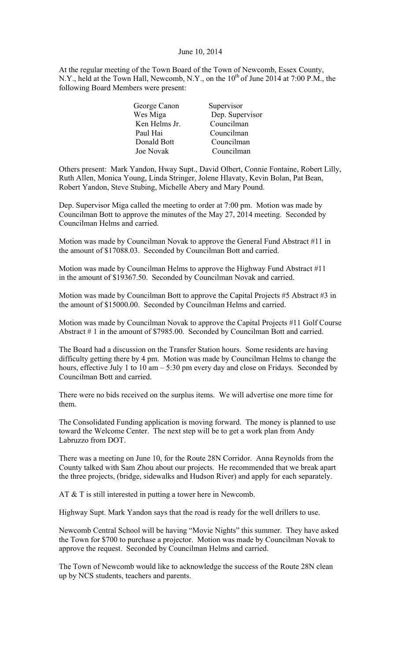### June 10, 2014

At the regular meeting of the Town Board of the Town of Newcomb, Essex County, N.Y., held at the Town Hall, Newcomb, N.Y., on the  $10^{th}$  of June 2014 at 7:00 P.M., the following Board Members were present:

| George Canon  | Supervisor      |
|---------------|-----------------|
| Wes Miga      | Dep. Supervisor |
| Ken Helms Jr. | Councilman      |
| Paul Hai      | Councilman      |
| Donald Bott   | Councilman      |
| Joe Novak     | Councilman      |

Others present: Mark Yandon, Hway Supt., David Olbert, Connie Fontaine, Robert Lilly, Ruth Allen, Monica Young, Linda Stringer, Jolene Hlavaty, Kevin Bolan, Pat Bean, Robert Yandon, Steve Stubing, Michelle Abery and Mary Pound.

Dep. Supervisor Miga called the meeting to order at 7:00 pm. Motion was made by Councilman Bott to approve the minutes of the May 27, 2014 meeting. Seconded by Councilman Helms and carried.

Motion was made by Councilman Novak to approve the General Fund Abstract #11 in the amount of \$17088.03. Seconded by Councilman Bott and carried.

Motion was made by Councilman Helms to approve the Highway Fund Abstract #11 in the amount of \$19367.50. Seconded by Councilman Novak and carried.

Motion was made by Councilman Bott to approve the Capital Projects #5 Abstract #3 in the amount of \$15000.00. Seconded by Councilman Helms and carried.

Motion was made by Councilman Novak to approve the Capital Projects #11 Golf Course Abstract # 1 in the amount of \$7985.00. Seconded by Councilman Bott and carried.

The Board had a discussion on the Transfer Station hours. Some residents are having difficulty getting there by 4 pm. Motion was made by Councilman Helms to change the hours, effective July 1 to 10 am – 5:30 pm every day and close on Fridays. Seconded by Councilman Bott and carried.

There were no bids received on the surplus items. We will advertise one more time for them.

The Consolidated Funding application is moving forward. The money is planned to use toward the Welcome Center. The next step will be to get a work plan from Andy Labruzzo from DOT.

There was a meeting on June 10, for the Route 28N Corridor. Anna Reynolds from the County talked with Sam Zhou about our projects. He recommended that we break apart the three projects, (bridge, sidewalks and Hudson River) and apply for each separately.

AT & T is still interested in putting a tower here in Newcomb.

Highway Supt. Mark Yandon says that the road is ready for the well drillers to use.

Newcomb Central School will be having "Movie Nights" this summer. They have asked the Town for \$700 to purchase a projector. Motion was made by Councilman Novak to approve the request. Seconded by Councilman Helms and carried.

The Town of Newcomb would like to acknowledge the success of the Route 28N clean up by NCS students, teachers and parents.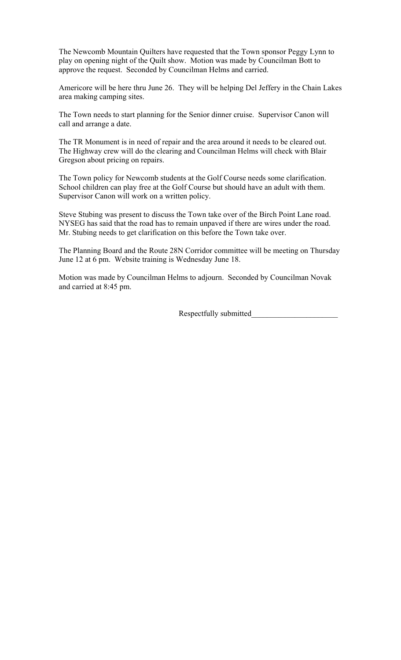The Newcomb Mountain Quilters have requested that the Town sponsor Peggy Lynn to play on opening night of the Quilt show. Motion was made by Councilman Bott to approve the request. Seconded by Councilman Helms and carried.

Americore will be here thru June 26. They will be helping Del Jeffery in the Chain Lakes area making camping sites.

The Town needs to start planning for the Senior dinner cruise. Supervisor Canon will call and arrange a date.

The TR Monument is in need of repair and the area around it needs to be cleared out. The Highway crew will do the clearing and Councilman Helms will check with Blair Gregson about pricing on repairs.

The Town policy for Newcomb students at the Golf Course needs some clarification. School children can play free at the Golf Course but should have an adult with them. Supervisor Canon will work on a written policy.

Steve Stubing was present to discuss the Town take over of the Birch Point Lane road. NYSEG has said that the road has to remain unpaved if there are wires under the road. Mr. Stubing needs to get clarification on this before the Town take over.

The Planning Board and the Route 28N Corridor committee will be meeting on Thursday June 12 at 6 pm. Website training is Wednesday June 18.

Motion was made by Councilman Helms to adjourn. Seconded by Councilman Novak and carried at 8:45 pm.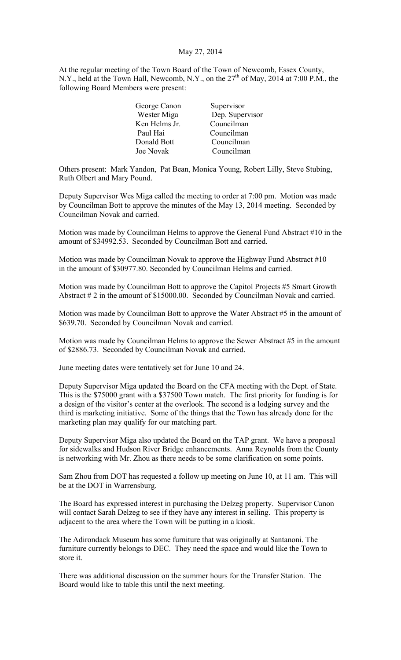# May 27, 2014

At the regular meeting of the Town Board of the Town of Newcomb, Essex County, N.Y., held at the Town Hall, Newcomb, N.Y., on the  $27<sup>th</sup>$  of May, 2014 at 7:00 P.M., the following Board Members were present:

| George Canon  | Supervisor      |
|---------------|-----------------|
| Wester Miga   | Dep. Supervisor |
| Ken Helms Jr. | Councilman      |
| Paul Hai      | Councilman      |
| Donald Bott   | Councilman      |
| Joe Novak     | Councilman      |

Others present: Mark Yandon, Pat Bean, Monica Young, Robert Lilly, Steve Stubing, Ruth Olbert and Mary Pound.

Deputy Supervisor Wes Miga called the meeting to order at 7:00 pm. Motion was made by Councilman Bott to approve the minutes of the May 13, 2014 meeting. Seconded by Councilman Novak and carried.

Motion was made by Councilman Helms to approve the General Fund Abstract #10 in the amount of \$34992.53. Seconded by Councilman Bott and carried.

Motion was made by Councilman Novak to approve the Highway Fund Abstract #10 in the amount of \$30977.80. Seconded by Councilman Helms and carried.

Motion was made by Councilman Bott to approve the Capitol Projects #5 Smart Growth Abstract # 2 in the amount of \$15000.00. Seconded by Councilman Novak and carried.

Motion was made by Councilman Bott to approve the Water Abstract #5 in the amount of \$639.70. Seconded by Councilman Novak and carried.

Motion was made by Councilman Helms to approve the Sewer Abstract #5 in the amount of \$2886.73. Seconded by Councilman Novak and carried.

June meeting dates were tentatively set for June 10 and 24.

Deputy Supervisor Miga updated the Board on the CFA meeting with the Dept. of State. This is the \$75000 grant with a \$37500 Town match. The first priority for funding is for a design of the visitor's center at the overlook. The second is a lodging survey and the third is marketing initiative. Some of the things that the Town has already done for the marketing plan may qualify for our matching part.

Deputy Supervisor Miga also updated the Board on the TAP grant. We have a proposal for sidewalks and Hudson River Bridge enhancements. Anna Reynolds from the County is networking with Mr. Zhou as there needs to be some clarification on some points.

Sam Zhou from DOT has requested a follow up meeting on June 10, at 11 am. This will be at the DOT in Warrensburg.

The Board has expressed interest in purchasing the Delzeg property. Supervisor Canon will contact Sarah Delzeg to see if they have any interest in selling. This property is adjacent to the area where the Town will be putting in a kiosk.

The Adirondack Museum has some furniture that was originally at Santanoni. The furniture currently belongs to DEC. They need the space and would like the Town to store it.

There was additional discussion on the summer hours for the Transfer Station. The Board would like to table this until the next meeting.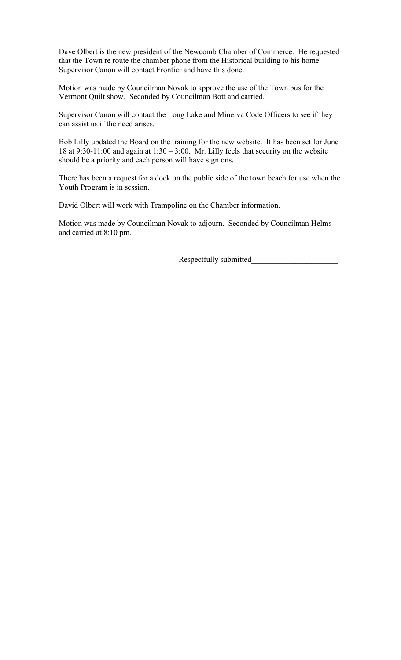Dave Olbert is the new president of the Newcomb Chamber of Commerce. He requested that the Town re route the chamber phone from the Historical building to his home. Supervisor Canon will contact Frontier and have this done.

Motion was made by Councilman Novak to approve the use of the Town bus for the Vermont Quilt show. Seconded by Councilman Bott and carried.

Supervisor Canon will contact the Long Lake and Minerva Code Officers to see if they can assist us if the need arises.

Bob Lilly updated the Board on the training for the new website. It has been set for June 18 at 9:30-11:00 and again at  $1:30-3:00$ . Mr. Lilly feels that security on the website should be a priority and each person will have sign ons.

There has been a request for a dock on the public side of the town beach for use when the Youth Program is in session.

David Olbert will work with Trampoline on the Chamber information.

Motion was made by Councilman Novak to adjourn. Seconded by Councilman Helms and carried at 8:10 pm.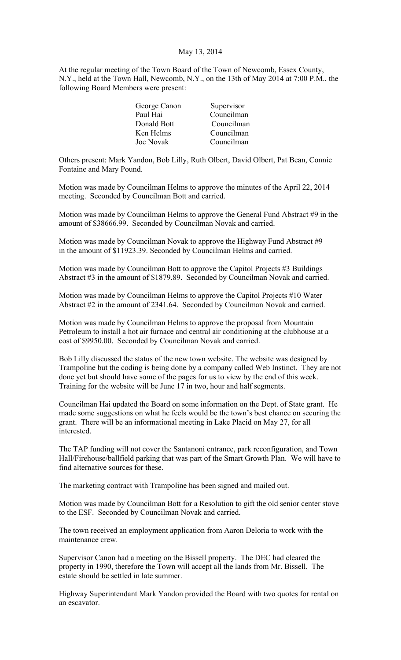### May 13, 2014

At the regular meeting of the Town Board of the Town of Newcomb, Essex County, N.Y., held at the Town Hall, Newcomb, N.Y., on the 13th of May 2014 at 7:00 P.M., the following Board Members were present:

| Supervisor<br>George Canon |  |
|----------------------------|--|
| Councilman<br>Paul Hai     |  |
| Donald Bott<br>Councilman  |  |
| Councilman<br>Ken Helms    |  |
| Councilman<br>Joe Novak    |  |
|                            |  |

Others present: Mark Yandon, Bob Lilly, Ruth Olbert, David Olbert, Pat Bean, Connie Fontaine and Mary Pound.

Motion was made by Councilman Helms to approve the minutes of the April 22, 2014 meeting. Seconded by Councilman Bott and carried.

Motion was made by Councilman Helms to approve the General Fund Abstract #9 in the amount of \$38666.99. Seconded by Councilman Novak and carried.

Motion was made by Councilman Novak to approve the Highway Fund Abstract #9 in the amount of \$11923.39. Seconded by Councilman Helms and carried.

Motion was made by Councilman Bott to approve the Capitol Projects #3 Buildings Abstract #3 in the amount of \$1879.89. Seconded by Councilman Novak and carried.

Motion was made by Councilman Helms to approve the Capitol Projects #10 Water Abstract #2 in the amount of 2341.64. Seconded by Councilman Novak and carried.

Motion was made by Councilman Helms to approve the proposal from Mountain Petroleum to install a hot air furnace and central air conditioning at the clubhouse at a cost of \$9950.00. Seconded by Councilman Novak and carried.

Bob Lilly discussed the status of the new town website. The website was designed by Trampoline but the coding is being done by a company called Web Instinct. They are not done yet but should have some of the pages for us to view by the end of this week. Training for the website will be June 17 in two, hour and half segments.

Councilman Hai updated the Board on some information on the Dept. of State grant. He made some suggestions on what he feels would be the town's best chance on securing the grant. There will be an informational meeting in Lake Placid on May 27, for all interested.

The TAP funding will not cover the Santanoni entrance, park reconfiguration, and Town Hall/Firehouse/ballfield parking that was part of the Smart Growth Plan. We will have to find alternative sources for these.

The marketing contract with Trampoline has been signed and mailed out.

Motion was made by Councilman Bott for a Resolution to gift the old senior center stove to the ESF. Seconded by Councilman Novak and carried.

The town received an employment application from Aaron Deloria to work with the maintenance crew.

Supervisor Canon had a meeting on the Bissell property. The DEC had cleared the property in 1990, therefore the Town will accept all the lands from Mr. Bissell. The estate should be settled in late summer.

Highway Superintendant Mark Yandon provided the Board with two quotes for rental on an escavator.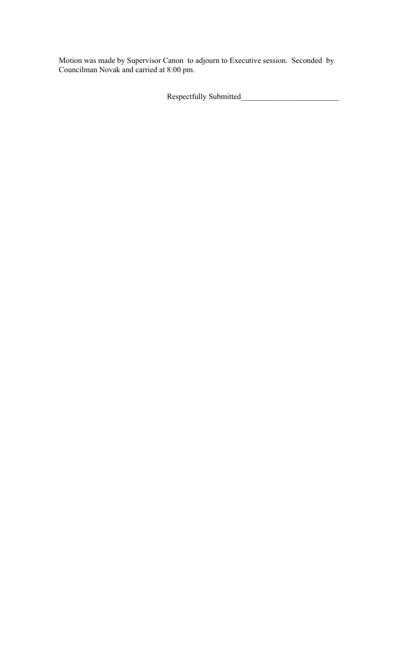Motion was made by Supervisor Canon to adjourn to Executive session. Seconded by Councilman Novak and carried at 8:00 pm.

Respectfully Submitted\_\_\_\_\_\_\_\_\_\_\_\_\_\_\_\_\_\_\_\_\_\_\_\_\_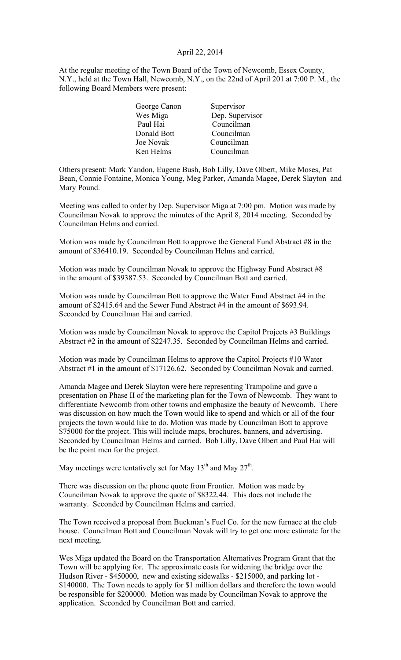# April 22, 2014

At the regular meeting of the Town Board of the Town of Newcomb, Essex County, N.Y., held at the Town Hall, Newcomb, N.Y., on the 22nd of April 201 at 7:00 P. M., the following Board Members were present:

| George Canon | Supervisor      |
|--------------|-----------------|
| Wes Miga     | Dep. Supervisor |
| Paul Hai     | Councilman      |
| Donald Bott  | Councilman      |
| Joe Novak    | Councilman      |
| Ken Helms    | Councilman      |

Others present: Mark Yandon, Eugene Bush, Bob Lilly, Dave Olbert, Mike Moses, Pat Bean, Connie Fontaine, Monica Young, Meg Parker, Amanda Magee, Derek Slayton and Mary Pound.

Meeting was called to order by Dep. Supervisor Miga at 7:00 pm. Motion was made by Councilman Novak to approve the minutes of the April 8, 2014 meeting. Seconded by Councilman Helms and carried.

Motion was made by Councilman Bott to approve the General Fund Abstract #8 in the amount of \$36410.19. Seconded by Councilman Helms and carried.

Motion was made by Councilman Novak to approve the Highway Fund Abstract #8 in the amount of \$39387.53. Seconded by Councilman Bott and carried.

Motion was made by Councilman Bott to approve the Water Fund Abstract #4 in the amount of \$2415.64 and the Sewer Fund Abstract #4 in the amount of \$693.94. Seconded by Councilman Hai and carried.

Motion was made by Councilman Novak to approve the Capitol Projects #3 Buildings Abstract #2 in the amount of \$2247.35. Seconded by Councilman Helms and carried.

Motion was made by Councilman Helms to approve the Capitol Projects #10 Water Abstract #1 in the amount of \$17126.62. Seconded by Councilman Novak and carried.

Amanda Magee and Derek Slayton were here representing Trampoline and gave a presentation on Phase II of the marketing plan for the Town of Newcomb. They want to differentiate Newcomb from other towns and emphasize the beauty of Newcomb. There was discussion on how much the Town would like to spend and which or all of the four projects the town would like to do. Motion was made by Councilman Bott to approve \$75000 for the project. This will include maps, brochures, banners, and advertising. Seconded by Councilman Helms and carried. Bob Lilly, Dave Olbert and Paul Hai will be the point men for the project.

May meetings were tentatively set for May  $13<sup>th</sup>$  and May  $27<sup>th</sup>$ .

There was discussion on the phone quote from Frontier. Motion was made by Councilman Novak to approve the quote of \$8322.44. This does not include the warranty. Seconded by Councilman Helms and carried.

The Town received a proposal from Buckman's Fuel Co. for the new furnace at the club house. Councilman Bott and Councilman Novak will try to get one more estimate for the next meeting.

Wes Miga updated the Board on the Transportation Alternatives Program Grant that the Town will be applying for. The approximate costs for widening the bridge over the Hudson River - \$450000, new and existing sidewalks - \$215000, and parking lot - \$140000. The Town needs to apply for \$1 million dollars and therefore the town would be responsible for \$200000. Motion was made by Councilman Novak to approve the application. Seconded by Councilman Bott and carried.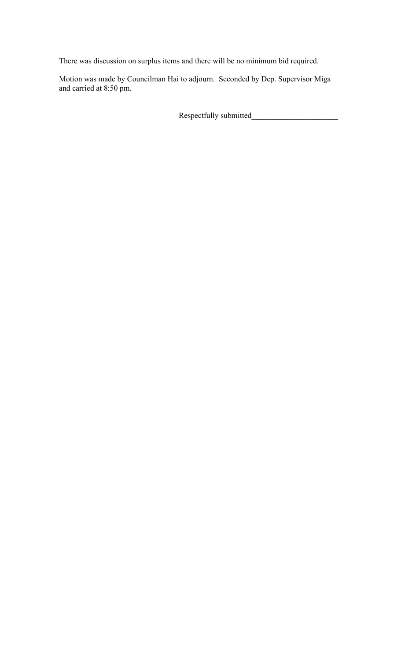There was discussion on surplus items and there will be no minimum bid required.

Motion was made by Councilman Hai to adjourn. Seconded by Dep. Supervisor Miga and carried at 8:50 pm.

Respectfully submitted\_\_\_\_\_\_\_\_\_\_\_\_\_\_\_\_\_\_\_\_\_\_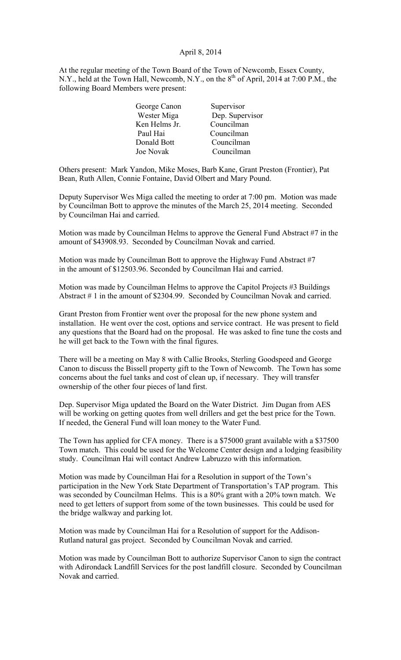## April 8, 2014

At the regular meeting of the Town Board of the Town of Newcomb, Essex County, N.Y., held at the Town Hall, Newcomb, N.Y., on the  $8<sup>th</sup>$  of April, 2014 at 7:00 P.M., the following Board Members were present:

| George Canon  | Supervisor      |
|---------------|-----------------|
| Wester Miga   | Dep. Supervisor |
| Ken Helms Jr. | Councilman      |
| Paul Hai      | Councilman      |
| Donald Bott   | Councilman      |
| Joe Novak     | Councilman      |

Others present: Mark Yandon, Mike Moses, Barb Kane, Grant Preston (Frontier), Pat Bean, Ruth Allen, Connie Fontaine, David Olbert and Mary Pound.

Deputy Supervisor Wes Miga called the meeting to order at 7:00 pm. Motion was made by Councilman Bott to approve the minutes of the March 25, 2014 meeting. Seconded by Councilman Hai and carried.

Motion was made by Councilman Helms to approve the General Fund Abstract #7 in the amount of \$43908.93. Seconded by Councilman Novak and carried.

Motion was made by Councilman Bott to approve the Highway Fund Abstract #7 in the amount of \$12503.96. Seconded by Councilman Hai and carried.

Motion was made by Councilman Helms to approve the Capitol Projects #3 Buildings Abstract # 1 in the amount of \$2304.99. Seconded by Councilman Novak and carried.

Grant Preston from Frontier went over the proposal for the new phone system and installation. He went over the cost, options and service contract. He was present to field any questions that the Board had on the proposal. He was asked to fine tune the costs and he will get back to the Town with the final figures.

There will be a meeting on May 8 with Callie Brooks, Sterling Goodspeed and George Canon to discuss the Bissell property gift to the Town of Newcomb. The Town has some concerns about the fuel tanks and cost of clean up, if necessary. They will transfer ownership of the other four pieces of land first.

Dep. Supervisor Miga updated the Board on the Water District. Jim Dugan from AES will be working on getting quotes from well drillers and get the best price for the Town. If needed, the General Fund will loan money to the Water Fund.

The Town has applied for CFA money. There is a \$75000 grant available with a \$37500 Town match. This could be used for the Welcome Center design and a lodging feasibility study. Councilman Hai will contact Andrew Labruzzo with this information.

Motion was made by Councilman Hai for a Resolution in support of the Town's participation in the New York State Department of Transportation's TAP program. This was seconded by Councilman Helms. This is a 80% grant with a 20% town match. We need to get letters of support from some of the town businesses. This could be used for the bridge walkway and parking lot.

Motion was made by Councilman Hai for a Resolution of support for the Addison-Rutland natural gas project. Seconded by Councilman Novak and carried.

Motion was made by Councilman Bott to authorize Supervisor Canon to sign the contract with Adirondack Landfill Services for the post landfill closure. Seconded by Councilman Novak and carried.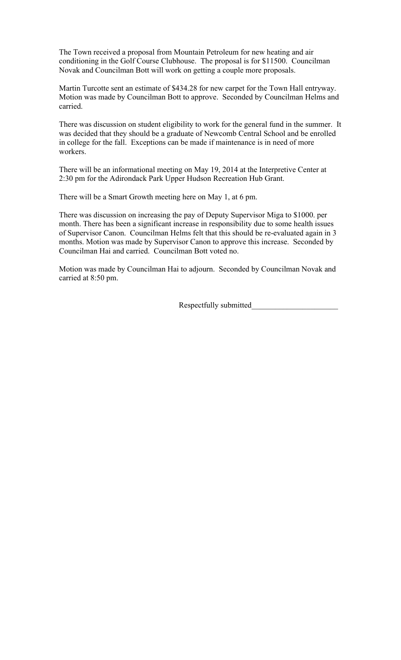The Town received a proposal from Mountain Petroleum for new heating and air conditioning in the Golf Course Clubhouse. The proposal is for \$11500. Councilman Novak and Councilman Bott will work on getting a couple more proposals.

Martin Turcotte sent an estimate of \$434.28 for new carpet for the Town Hall entryway. Motion was made by Councilman Bott to approve. Seconded by Councilman Helms and carried.

There was discussion on student eligibility to work for the general fund in the summer. It was decided that they should be a graduate of Newcomb Central School and be enrolled in college for the fall. Exceptions can be made if maintenance is in need of more workers.

There will be an informational meeting on May 19, 2014 at the Interpretive Center at 2:30 pm for the Adirondack Park Upper Hudson Recreation Hub Grant.

There will be a Smart Growth meeting here on May 1, at 6 pm.

There was discussion on increasing the pay of Deputy Supervisor Miga to \$1000. per month. There has been a significant increase in responsibility due to some health issues of Supervisor Canon. Councilman Helms felt that this should be re-evaluated again in 3 months. Motion was made by Supervisor Canon to approve this increase. Seconded by Councilman Hai and carried. Councilman Bott voted no.

Motion was made by Councilman Hai to adjourn. Seconded by Councilman Novak and carried at 8:50 pm.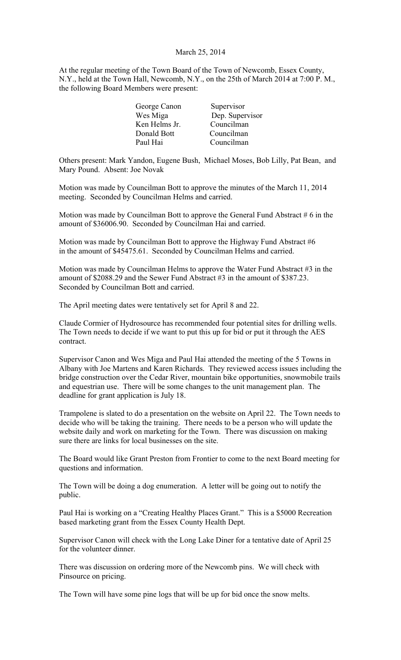# March 25, 2014

At the regular meeting of the Town Board of the Town of Newcomb, Essex County, N.Y., held at the Town Hall, Newcomb, N.Y., on the 25th of March 2014 at 7:00 P. M., the following Board Members were present:

| George Canon  | Supervisor      |
|---------------|-----------------|
| Wes Miga      | Dep. Supervisor |
| Ken Helms Jr. | Councilman      |
| Donald Bott   | Councilman      |
| Paul Hai      | Councilman      |
|               |                 |

Others present: Mark Yandon, Eugene Bush, Michael Moses, Bob Lilly, Pat Bean, and Mary Pound. Absent: Joe Novak

Motion was made by Councilman Bott to approve the minutes of the March 11, 2014 meeting. Seconded by Councilman Helms and carried.

Motion was made by Councilman Bott to approve the General Fund Abstract  $#6$  in the amount of \$36006.90. Seconded by Councilman Hai and carried.

Motion was made by Councilman Bott to approve the Highway Fund Abstract #6 in the amount of \$45475.61. Seconded by Councilman Helms and carried.

Motion was made by Councilman Helms to approve the Water Fund Abstract #3 in the amount of \$2088.29 and the Sewer Fund Abstract #3 in the amount of \$387.23. Seconded by Councilman Bott and carried.

The April meeting dates were tentatively set for April 8 and 22.

Claude Cormier of Hydrosource has recommended four potential sites for drilling wells. The Town needs to decide if we want to put this up for bid or put it through the AES contract.

Supervisor Canon and Wes Miga and Paul Hai attended the meeting of the 5 Towns in Albany with Joe Martens and Karen Richards. They reviewed access issues including the bridge construction over the Cedar River, mountain bike opportunities, snowmobile trails and equestrian use. There will be some changes to the unit management plan. The deadline for grant application is July 18.

Trampolene is slated to do a presentation on the website on April 22. The Town needs to decide who will be taking the training. There needs to be a person who will update the website daily and work on marketing for the Town. There was discussion on making sure there are links for local businesses on the site.

The Board would like Grant Preston from Frontier to come to the next Board meeting for questions and information.

The Town will be doing a dog enumeration. A letter will be going out to notify the public.

Paul Hai is working on a "Creating Healthy Places Grant." This is a \$5000 Recreation based marketing grant from the Essex County Health Dept.

Supervisor Canon will check with the Long Lake Diner for a tentative date of April 25 for the volunteer dinner.

There was discussion on ordering more of the Newcomb pins. We will check with Pinsource on pricing.

The Town will have some pine logs that will be up for bid once the snow melts.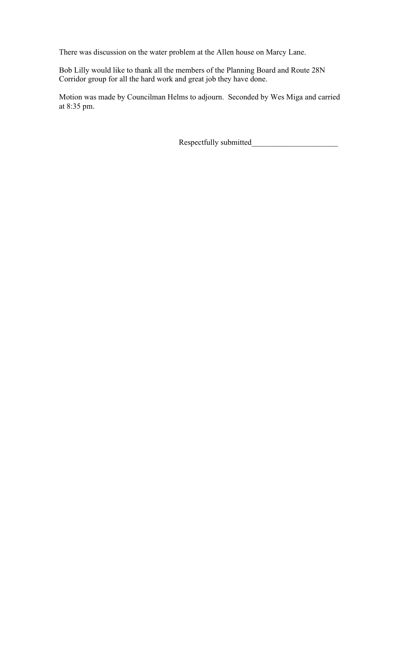There was discussion on the water problem at the Allen house on Marcy Lane.

Bob Lilly would like to thank all the members of the Planning Board and Route 28N Corridor group for all the hard work and great job they have done.

Motion was made by Councilman Helms to adjourn. Seconded by Wes Miga and carried at 8:35 pm.

Respectfully submitted\_\_\_\_\_\_\_\_\_\_\_\_\_\_\_\_\_\_\_\_\_\_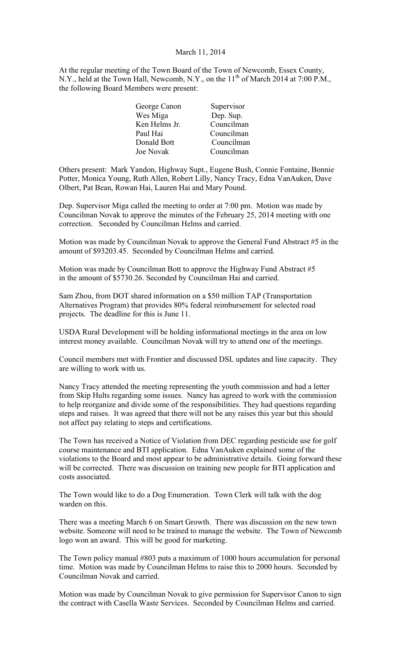## March 11, 2014

At the regular meeting of the Town Board of the Town of Newcomb, Essex County, N.Y., held at the Town Hall, Newcomb, N.Y., on the 11<sup>th</sup> of March 2014 at 7:00 P.M., the following Board Members were present:

| George Canon     | Supervisor |
|------------------|------------|
| Wes Miga         | Dep. Sup.  |
| Ken Helms Jr.    | Councilman |
| Paul Hai         | Councilman |
| Donald Bott      | Councilman |
| <b>Joe Novak</b> | Councilman |

Others present: Mark Yandon, Highway Supt., Eugene Bush, Connie Fontaine, Bonnie Potter, Monica Young, Ruth Allen, Robert Lilly, Nancy Tracy, Edna VanAuken, Dave Olbert, Pat Bean, Rowan Hai, Lauren Hai and Mary Pound.

Dep. Supervisor Miga called the meeting to order at 7:00 pm. Motion was made by Councilman Novak to approve the minutes of the February 25, 2014 meeting with one correction. Seconded by Councilman Helms and carried.

Motion was made by Councilman Novak to approve the General Fund Abstract #5 in the amount of \$93203.45. Seconded by Councilman Helms and carried.

Motion was made by Councilman Bott to approve the Highway Fund Abstract #5 in the amount of \$5730.26. Seconded by Councilman Hai and carried.

Sam Zhou, from DOT shared information on a \$50 million TAP (Transportation Alternatives Program) that provides 80% federal reimbursement for selected road projects. The deadline for this is June 11.

USDA Rural Development will be holding informational meetings in the area on low interest money available. Councilman Novak will try to attend one of the meetings.

Council members met with Frontier and discussed DSL updates and line capacity. They are willing to work with us.

Nancy Tracy attended the meeting representing the youth commission and had a letter from Skip Hults regarding some issues. Nancy has agreed to work with the commission to help reorganize and divide some of the responsibilities. They had questions regarding steps and raises. It was agreed that there will not be any raises this year but this should not affect pay relating to steps and certifications.

The Town has received a Notice of Violation from DEC regarding pesticide use for golf course maintenance and BTI application. Edna VanAuken explained some of the violations to the Board and most appear to be administrative details. Going forward these will be corrected. There was discussion on training new people for BTI application and costs associated.

The Town would like to do a Dog Enumeration. Town Clerk will talk with the dog warden on this.

There was a meeting March 6 on Smart Growth. There was discussion on the new town website. Someone will need to be trained to manage the website. The Town of Newcomb logo won an award. This will be good for marketing.

The Town policy manual #803 puts a maximum of 1000 hours accumulation for personal time. Motion was made by Councilman Helms to raise this to 2000 hours. Seconded by Councilman Novak and carried.

Motion was made by Councilman Novak to give permission for Supervisor Canon to sign the contract with Casella Waste Services. Seconded by Councilman Helms and carried.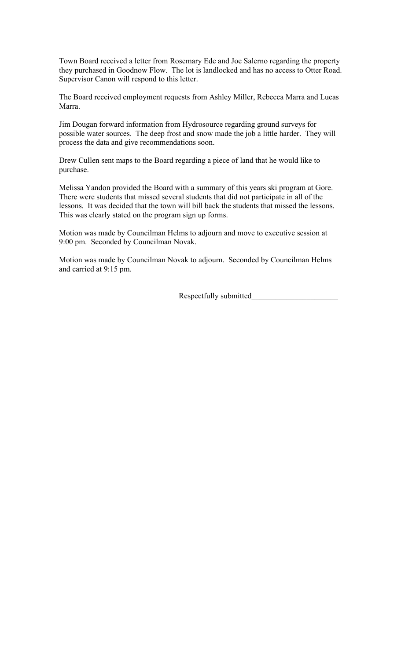Town Board received a letter from Rosemary Ede and Joe Salerno regarding the property they purchased in Goodnow Flow. The lot is landlocked and has no access to Otter Road. Supervisor Canon will respond to this letter.

The Board received employment requests from Ashley Miller, Rebecca Marra and Lucas Marra.

Jim Dougan forward information from Hydrosource regarding ground surveys for possible water sources. The deep frost and snow made the job a little harder. They will process the data and give recommendations soon.

Drew Cullen sent maps to the Board regarding a piece of land that he would like to purchase.

Melissa Yandon provided the Board with a summary of this years ski program at Gore. There were students that missed several students that did not participate in all of the lessons. It was decided that the town will bill back the students that missed the lessons. This was clearly stated on the program sign up forms.

Motion was made by Councilman Helms to adjourn and move to executive session at 9:00 pm. Seconded by Councilman Novak.

Motion was made by Councilman Novak to adjourn. Seconded by Councilman Helms and carried at 9:15 pm.

Respectfully submitted\_\_\_\_\_\_\_\_\_\_\_\_\_\_\_\_\_\_\_\_\_\_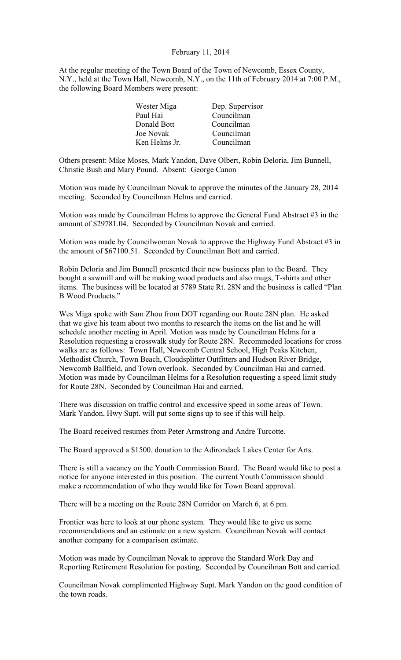# February 11, 2014

At the regular meeting of the Town Board of the Town of Newcomb, Essex County, N.Y., held at the Town Hall, Newcomb, N.Y., on the 11th of February 2014 at 7:00 P.M., the following Board Members were present:

| Wester Miga | Dep. Supervisor             |  |
|-------------|-----------------------------|--|
| Paul Hai    | Councilman                  |  |
| Donald Bott | Councilman                  |  |
| Joe Novak   | Councilman                  |  |
|             | Councilman<br>Ken Helms Jr. |  |

Others present: Mike Moses, Mark Yandon, Dave Olbert, Robin Deloria, Jim Bunnell, Christie Bush and Mary Pound. Absent: George Canon

Motion was made by Councilman Novak to approve the minutes of the January 28, 2014 meeting. Seconded by Councilman Helms and carried.

Motion was made by Councilman Helms to approve the General Fund Abstract #3 in the amount of \$29781.04. Seconded by Councilman Novak and carried.

Motion was made by Councilwoman Novak to approve the Highway Fund Abstract #3 in the amount of \$67100.51. Seconded by Councilman Bott and carried.

Robin Deloria and Jim Bunnell presented their new business plan to the Board. They bought a sawmill and will be making wood products and also mugs, T-shirts and other items. The business will be located at 5789 State Rt. 28N and the business is called "Plan B Wood Products."

Wes Miga spoke with Sam Zhou from DOT regarding our Route 28N plan. He asked that we give his team about two months to research the items on the list and he will schedule another meeting in April. Motion was made by Councilman Helms for a Resolution requesting a crosswalk study for Route 28N. Recommeded locations for cross walks are as follows: Town Hall, Newcomb Central School, High Peaks Kitchen, Methodist Church, Town Beach, Cloudsplitter Outfitters and Hudson River Bridge, Newcomb Ballfield, and Town overlook. Seconded by Councilman Hai and carried. Motion was made by Councilman Helms for a Resolution requesting a speed limit study for Route 28N. Seconded by Councilman Hai and carried.

There was discussion on traffic control and excessive speed in some areas of Town. Mark Yandon, Hwy Supt. will put some signs up to see if this will help.

The Board received resumes from Peter Armstrong and Andre Turcotte.

The Board approved a \$1500. donation to the Adirondack Lakes Center for Arts.

There is still a vacancy on the Youth Commission Board. The Board would like to post a notice for anyone interested in this position. The current Youth Commission should make a recommendation of who they would like for Town Board approval.

There will be a meeting on the Route 28N Corridor on March 6, at 6 pm.

Frontier was here to look at our phone system. They would like to give us some recommendations and an estimate on a new system. Councilman Novak will contact another company for a comparison estimate.

Motion was made by Councilman Novak to approve the Standard Work Day and Reporting Retirement Resolution for posting. Seconded by Councilman Bott and carried.

Councilman Novak complimented Highway Supt. Mark Yandon on the good condition of the town roads.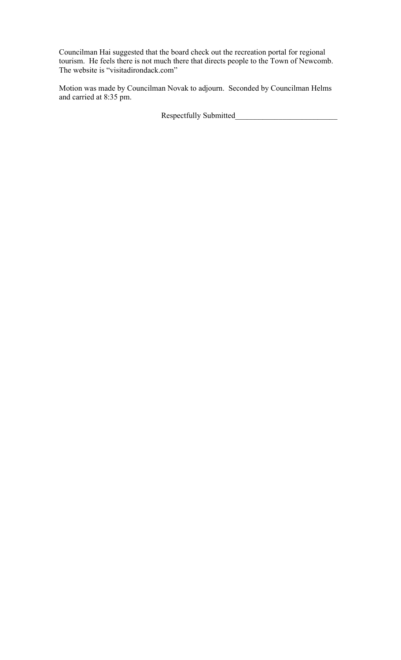Councilman Hai suggested that the board check out the recreation portal for regional tourism. He feels there is not much there that directs people to the Town of Newcomb. The website is "visitadirondack.com"

Motion was made by Councilman Novak to adjourn. Seconded by Councilman Helms and carried at 8:35 pm.

Respectfully Submitted\_\_\_\_\_\_\_\_\_\_\_\_\_\_\_\_\_\_\_\_\_\_\_\_\_\_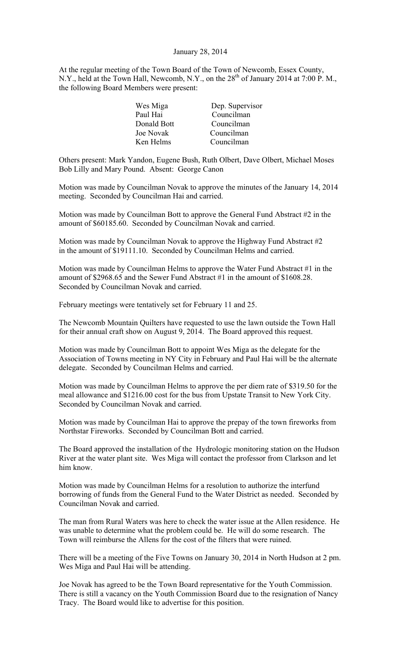#### January 28, 2014

At the regular meeting of the Town Board of the Town of Newcomb, Essex County, N.Y., held at the Town Hall, Newcomb, N.Y., on the  $28<sup>th</sup>$  of January 2014 at 7:00 P. M., the following Board Members were present:

| Wes Miga    | Dep. Supervisor |
|-------------|-----------------|
| Paul Hai    | Councilman      |
| Donald Bott | Councilman      |
| Joe Novak   | Councilman      |
| Ken Helms   | Councilman      |
|             |                 |

Others present: Mark Yandon, Eugene Bush, Ruth Olbert, Dave Olbert, Michael Moses Bob Lilly and Mary Pound. Absent: George Canon

Motion was made by Councilman Novak to approve the minutes of the January 14, 2014 meeting. Seconded by Councilman Hai and carried.

Motion was made by Councilman Bott to approve the General Fund Abstract #2 in the amount of \$60185.60. Seconded by Councilman Novak and carried.

Motion was made by Councilman Novak to approve the Highway Fund Abstract #2 in the amount of \$19111.10. Seconded by Councilman Helms and carried.

Motion was made by Councilman Helms to approve the Water Fund Abstract #1 in the amount of \$2968.65 and the Sewer Fund Abstract #1 in the amount of \$1608.28. Seconded by Councilman Novak and carried.

February meetings were tentatively set for February 11 and 25.

The Newcomb Mountain Quilters have requested to use the lawn outside the Town Hall for their annual craft show on August 9, 2014. The Board approved this request.

Motion was made by Councilman Bott to appoint Wes Miga as the delegate for the Association of Towns meeting in NY City in February and Paul Hai will be the alternate delegate. Seconded by Councilman Helms and carried.

Motion was made by Councilman Helms to approve the per diem rate of \$319.50 for the meal allowance and \$1216.00 cost for the bus from Upstate Transit to New York City. Seconded by Councilman Novak and carried.

Motion was made by Councilman Hai to approve the prepay of the town fireworks from Northstar Fireworks. Seconded by Councilman Bott and carried.

The Board approved the installation of the Hydrologic monitoring station on the Hudson River at the water plant site. Wes Miga will contact the professor from Clarkson and let him know.

Motion was made by Councilman Helms for a resolution to authorize the interfund borrowing of funds from the General Fund to the Water District as needed. Seconded by Councilman Novak and carried.

The man from Rural Waters was here to check the water issue at the Allen residence. He was unable to determine what the problem could be. He will do some research. The Town will reimburse the Allens for the cost of the filters that were ruined.

There will be a meeting of the Five Towns on January 30, 2014 in North Hudson at 2 pm. Wes Miga and Paul Hai will be attending.

Joe Novak has agreed to be the Town Board representative for the Youth Commission. There is still a vacancy on the Youth Commission Board due to the resignation of Nancy Tracy. The Board would like to advertise for this position.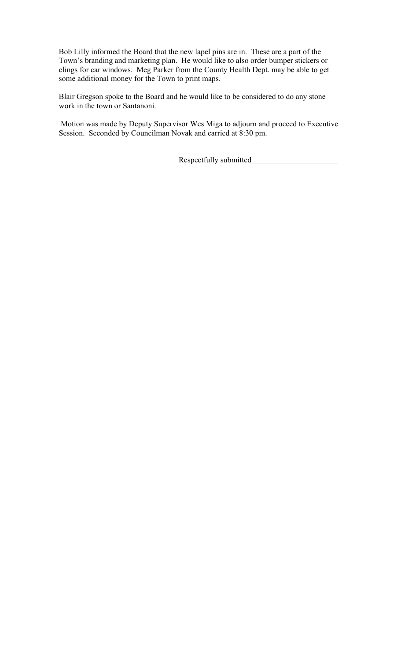Bob Lilly informed the Board that the new lapel pins are in. These are a part of the Town's branding and marketing plan. He would like to also order bumper stickers or clings for car windows. Meg Parker from the County Health Dept. may be able to get some additional money for the Town to print maps.

Blair Gregson spoke to the Board and he would like to be considered to do any stone work in the town or Santanoni.

Motion was made by Deputy Supervisor Wes Miga to adjourn and proceed to Executive Session. Seconded by Councilman Novak and carried at 8:30 pm.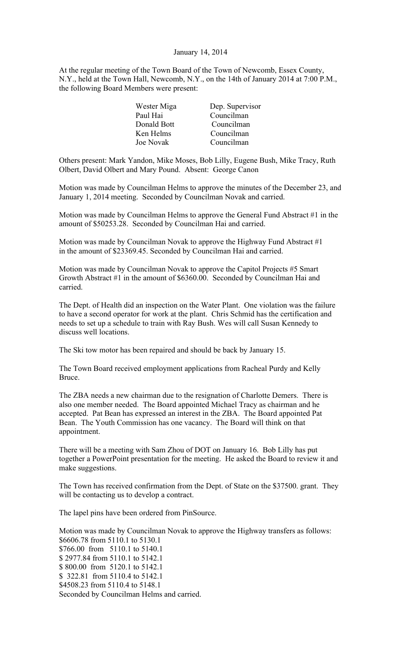### January 14, 2014

At the regular meeting of the Town Board of the Town of Newcomb, Essex County, N.Y., held at the Town Hall, Newcomb, N.Y., on the 14th of January 2014 at 7:00 P.M., the following Board Members were present:

| Dep. Supervisor |
|-----------------|
| Councilman      |
| Councilman      |
| Councilman      |
| Councilman      |
|                 |

Others present: Mark Yandon, Mike Moses, Bob Lilly, Eugene Bush, Mike Tracy, Ruth Olbert, David Olbert and Mary Pound. Absent: George Canon

Motion was made by Councilman Helms to approve the minutes of the December 23, and January 1, 2014 meeting. Seconded by Councilman Novak and carried.

Motion was made by Councilman Helms to approve the General Fund Abstract #1 in the amount of \$50253.28. Seconded by Councilman Hai and carried.

Motion was made by Councilman Novak to approve the Highway Fund Abstract  $\#1$ in the amount of \$23369.45. Seconded by Councilman Hai and carried.

Motion was made by Councilman Novak to approve the Capitol Projects #5 Smart Growth Abstract #1 in the amount of \$6360.00. Seconded by Councilman Hai and carried.

The Dept. of Health did an inspection on the Water Plant. One violation was the failure to have a second operator for work at the plant. Chris Schmid has the certification and needs to set up a schedule to train with Ray Bush. Wes will call Susan Kennedy to discuss well locations.

The Ski tow motor has been repaired and should be back by January 15.

The Town Board received employment applications from Racheal Purdy and Kelly Bruce.

The ZBA needs a new chairman due to the resignation of Charlotte Demers. There is also one member needed. The Board appointed Michael Tracy as chairman and he accepted. Pat Bean has expressed an interest in the ZBA. The Board appointed Pat Bean. The Youth Commission has one vacancy. The Board will think on that appointment.

There will be a meeting with Sam Zhou of DOT on January 16. Bob Lilly has put together a PowerPoint presentation for the meeting. He asked the Board to review it and make suggestions.

The Town has received confirmation from the Dept. of State on the \$37500. grant. They will be contacting us to develop a contract.

The lapel pins have been ordered from PinSource.

Motion was made by Councilman Novak to approve the Highway transfers as follows: \$6606.78 from 5110.1 to 5130.1 \$766.00 from 5110.1 to 5140.1 \$ 2977.84 from 5110.1 to 5142.1 \$ 800.00 from 5120.1 to 5142.1 \$ 322.81 from 5110.4 to 5142.1 \$4508.23 from 5110.4 to 5148.1 Seconded by Councilman Helms and carried.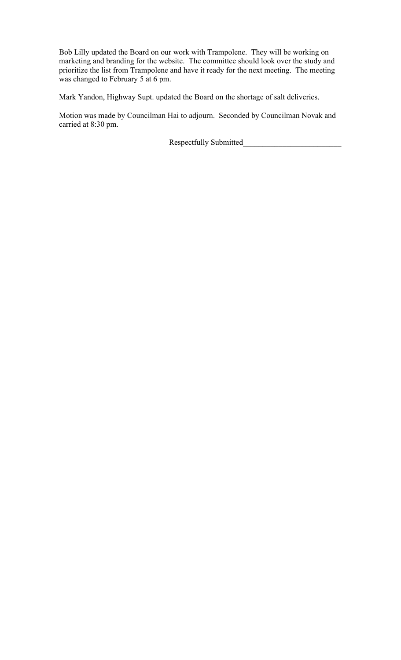Bob Lilly updated the Board on our work with Trampolene. They will be working on marketing and branding for the website. The committee should look over the study and prioritize the list from Trampolene and have it ready for the next meeting. The meeting was changed to February 5 at 6 pm.

Mark Yandon, Highway Supt. updated the Board on the shortage of salt deliveries.

Motion was made by Councilman Hai to adjourn. Seconded by Councilman Novak and carried at 8:30 pm.

Respectfully Submitted\_\_\_\_\_\_\_\_\_\_\_\_\_\_\_\_\_\_\_\_\_\_\_\_\_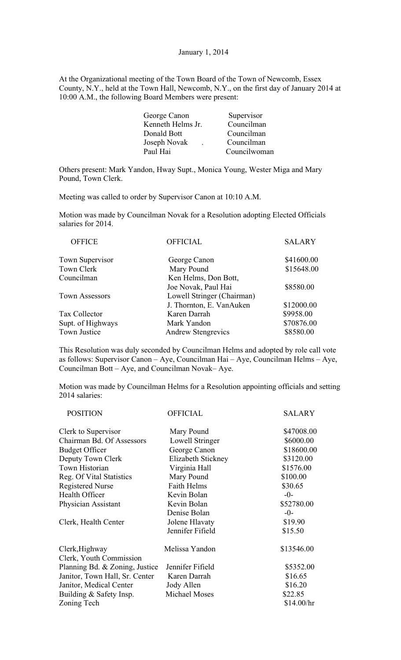#### January 1, 2014

At the Organizational meeting of the Town Board of the Town of Newcomb, Essex County, N.Y., held at the Town Hall, Newcomb, N.Y., on the first day of January 2014 at 10:00 A.M., the following Board Members were present:

| George Canon      | Supervisor   |
|-------------------|--------------|
| Kenneth Helms Jr. | Councilman   |
| Donald Bott       | Councilman   |
| Joseph Novak      | Councilman   |
| Paul Hai          | Councilwoman |
|                   |              |

Others present: Mark Yandon, Hway Supt., Monica Young, Wester Miga and Mary Pound, Town Clerk.

Meeting was called to order by Supervisor Canon at 10:10 A.M.

Motion was made by Councilman Novak for a Resolution adopting Elected Officials salaries for 2014.

| <b>OFFICE</b>          | <b>OFFICIAL</b>            | <b>SALARY</b> |
|------------------------|----------------------------|---------------|
| <b>Town Supervisor</b> | George Canon               | \$41600.00    |
| Town Clerk             | Mary Pound                 | \$15648.00    |
| Councilman             | Ken Helms, Don Bott,       |               |
|                        | Joe Novak, Paul Hai        | \$8580.00     |
| <b>Town Assessors</b>  | Lowell Stringer (Chairman) |               |
|                        | J. Thornton, E. VanAuken   | \$12000.00    |
| Tax Collector          | Karen Darrah               | \$9958.00     |
| Supt. of Highways      | Mark Yandon                | \$70876.00    |
| Town Justice           | <b>Andrew Stengrevics</b>  | \$8580.00     |
|                        |                            |               |

This Resolution was duly seconded by Councilman Helms and adopted by role call vote as follows: Supervisor Canon – Aye, Councilman Hai – Aye, Councilman Helms – Aye, Councilman Bott – Aye, and Councilman Novak– Aye.

Motion was made by Councilman Helms for a Resolution appointing officials and setting 2014 salaries:

| <b>POSITION</b>                | <b>OFFICIAL</b>      | <b>SALARY</b> |
|--------------------------------|----------------------|---------------|
| Clerk to Supervisor            | Mary Pound           | \$47008.00    |
| Chairman Bd. Of Assessors      | Lowell Stringer      | \$6000.00     |
| <b>Budget Officer</b>          | George Canon         | \$18600.00    |
| Deputy Town Clerk              | Elizabeth Stickney   | \$3120.00     |
| Town Historian                 | Virginia Hall        | \$1576.00     |
| Reg. Of Vital Statistics       | Mary Pound           | \$100.00      |
| <b>Registered Nurse</b>        | <b>Faith Helms</b>   | \$30.65       |
| Health Officer                 | Kevin Bolan          | $-0-$         |
| Physician Assistant            | Kevin Bolan          | \$52780.00    |
|                                | Denise Bolan         | $-0-$         |
| Clerk, Health Center           | Jolene Hlavaty       | \$19.90       |
|                                | Jennifer Fifield     | \$15.50       |
| Clerk, Highway                 | Melissa Yandon       | \$13546.00    |
| Clerk, Youth Commission        |                      |               |
| Planning Bd. & Zoning, Justice | Jennifer Fifield     | \$5352.00     |
| Janitor, Town Hall, Sr. Center | Karen Darrah         | \$16.65       |
| Janitor, Medical Center        | Jody Allen           | \$16.20       |
| Building & Safety Insp.        | <b>Michael Moses</b> | \$22.85       |
| Zoning Tech                    |                      | \$14.00/hr    |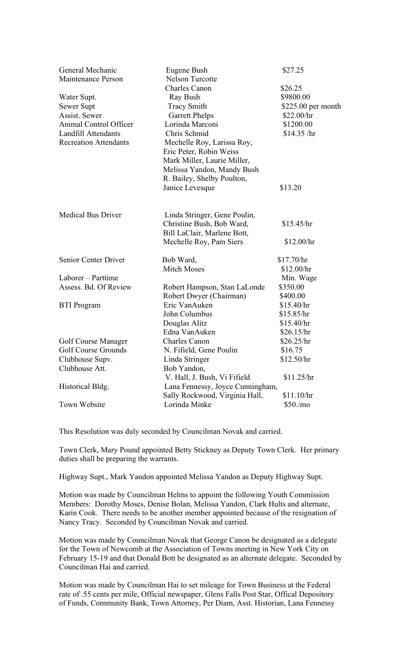| General Mechanic<br><b>Maintenance Person</b> | Eugene Bush<br><b>Nelson Turcotte</b> | \$27.25             |
|-----------------------------------------------|---------------------------------------|---------------------|
|                                               | <b>Charles Canon</b>                  | \$26.25             |
| Water Supt.                                   | Ray Bush                              | \$9800.00           |
| Sewer Supt                                    | <b>Tracy Smith</b>                    | $$225.00$ per month |
| Assist. Sewer                                 | <b>Garrett Phelps</b>                 | \$22.00/hr          |
| Animal Control Officer                        | Lorinda Marconi                       | \$1200.00           |
| Landfill Attendants                           | Chris Schmid                          | \$14.35 / hr        |
| <b>Recreation Attendants</b>                  | Mechelle Roy, Larissa Roy,            |                     |
|                                               | Eric Peter, Robin Weiss               |                     |
|                                               | Mark Miller, Laurie Miller,           |                     |
|                                               | Melissa Yandon, Mandy Bush            |                     |
|                                               | R. Bailey, Shelby Poulton,            |                     |
|                                               | Janice Levesque                       | \$13.20             |
|                                               |                                       |                     |
| <b>Medical Bus Driver</b>                     | Linda Stringer, Gene Poulin,          |                     |
|                                               | Christine Bush, Bob Ward,             | \$15.45/hr          |
|                                               | Bill LaClair, Marlene Bott,           |                     |
|                                               | Mechelle Roy, Pam Siers               | \$12.00/hr          |
| Senior Center Driver                          | Bob Ward,                             | \$17.70/hr          |
|                                               | <b>Mitch Moses</b>                    | \$12.00/hr          |
| Laborer – Parttime                            |                                       | Min. Wage           |
| Assess. Bd. Of Review                         | Robert Hampson, Stan LaLonde          | \$350.00            |
|                                               | Robert Dwyer (Chairman)               | \$400.00            |
| <b>BTI</b> Program                            | Eric VanAuken                         | \$15.40/hr          |
|                                               | John Columbus                         | \$15.85/hr          |
|                                               | Douglas Alitz                         | \$15.40/hr          |
|                                               | Edna VanAuken                         | \$26.15/hr          |
| Golf Course Manager                           | <b>Charles Canon</b>                  | \$26.25/hr          |
| <b>Golf Course Grounds</b>                    | N. Fifield, Gene Poulin               | \$16.75             |
| Clubhouse Supv.                               | Linda Stringer                        | \$12.50/hr          |
| Clubhouse Att.                                | Bob Yandon,                           |                     |
|                                               | V. Hall, J. Bush, Vi Fifield          | \$11.25/hr          |
| Historical Bldg.                              | Lana Fennessy, Joyce Cunningham,      |                     |
|                                               | Sally Rockwood, Virginia Hall,        | \$11.10/hr          |
| Town Website                                  | Lorinda Minke                         | \$50./mo            |

This Resolution was duly seconded by Councilman Novak and carried.

Town Clerk, Mary Pound appointed Betty Stickney as Deputy Town Clerk. Her primary duties shall be preparing the warrants.

Highway Supt., Mark Yandon appointed Melissa Yandon as Deputy Highway Supt.

Motion was made by Councilman Helms to appoint the following Youth Commission Members: Dorothy Moses, Denise Bolan, Melissa Yandon, Clark Hults and alternate, Karin Cook. There needs to be another member appointed because of the resignation of Nancy Tracy. Seconded by Councilman Novak and carried.

Motion was made by Councilman Novak that George Canon be designated as a delegate for the Town of Newcomb at the Association of Towns meeting in New York City on February 15-19 and that Donald Bott be designated as an alternate delegate. Seconded by Councilman Hai and carried.

Motion was made by Councilman Hai to set mileage for Town Business at the Federal rate of .55 cents per mile, Official newspaper, Glens Falls Post Star, Offical Depository of Funds, Community Bank, Town Attorney, Per Diam, Asst. Historian, Lana Fennessy